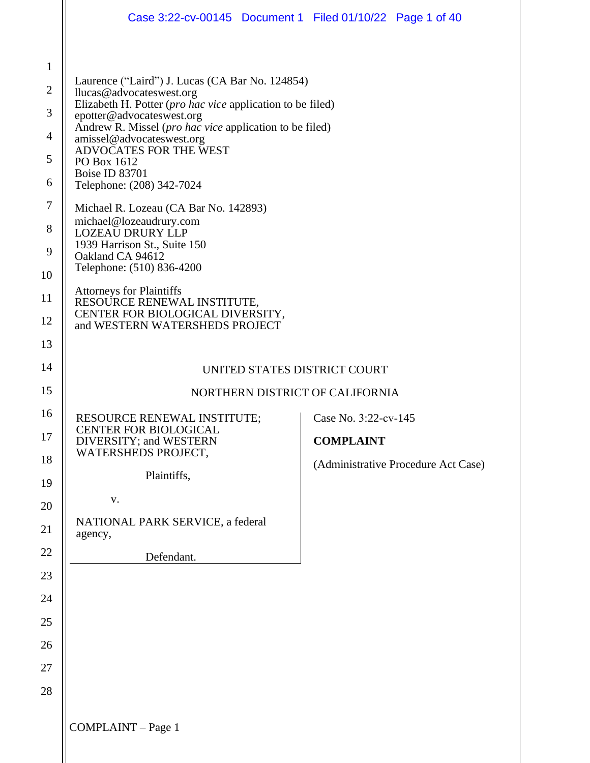|                | Case 3:22-cv-00145 Document 1 Filed 01/10/22 Page 1 of 40                                                                                                                                                                                                                                                                 |                                     |  |
|----------------|---------------------------------------------------------------------------------------------------------------------------------------------------------------------------------------------------------------------------------------------------------------------------------------------------------------------------|-------------------------------------|--|
|                |                                                                                                                                                                                                                                                                                                                           |                                     |  |
| 1              | Laurence ("Laird") J. Lucas (CA Bar No. 124854)<br>llucas@advocateswest.org<br>Elizabeth H. Potter (pro hac vice application to be filed)<br>epotter@advocateswest.org<br>Andrew R. Missel (pro hac vice application to be filed)<br>amissel@advocateswest.org<br>ADVOCATES FOR THE WEST<br>PO Box 1612<br>Boise ID 83701 |                                     |  |
| $\overline{2}$ |                                                                                                                                                                                                                                                                                                                           |                                     |  |
| 3              |                                                                                                                                                                                                                                                                                                                           |                                     |  |
| $\overline{4}$ |                                                                                                                                                                                                                                                                                                                           |                                     |  |
| 5              |                                                                                                                                                                                                                                                                                                                           |                                     |  |
| 6              | Telephone: (208) 342-7024                                                                                                                                                                                                                                                                                                 |                                     |  |
| 7              | Michael R. Lozeau (CA Bar No. 142893)<br>michael@lozeaudrury.com                                                                                                                                                                                                                                                          |                                     |  |
| 8              | <b>LOZEAU DRURY LLP</b><br>1939 Harrison St., Suite 150<br>Oakland CA 94612<br>Telephone: (510) 836-4200                                                                                                                                                                                                                  |                                     |  |
| 9              |                                                                                                                                                                                                                                                                                                                           |                                     |  |
| 10             | <b>Attorneys for Plaintiffs</b>                                                                                                                                                                                                                                                                                           |                                     |  |
| 11<br>12       | RESOURCE RENEWAL INSTITUTE,<br>CENTER FOR BIOLOGICAL DIVERSITY,                                                                                                                                                                                                                                                           |                                     |  |
| 13             | and WESTERN WATERSHEDS PROJECT                                                                                                                                                                                                                                                                                            |                                     |  |
| 14             | UNITED STATES DISTRICT COURT                                                                                                                                                                                                                                                                                              |                                     |  |
| 15             | NORTHERN DISTRICT OF CALIFORNIA                                                                                                                                                                                                                                                                                           |                                     |  |
| 16             | Case No. 3:22-cv-145<br>RESOURCE RENEWAL INSTITUTE;                                                                                                                                                                                                                                                                       |                                     |  |
| 17             | <b>CENTER FOR BIOLOGICAL</b><br>DIVERSITY; and WESTERN                                                                                                                                                                                                                                                                    | <b>COMPLAINT</b>                    |  |
| 18             | WATERSHEDS PROJECT,                                                                                                                                                                                                                                                                                                       | (Administrative Procedure Act Case) |  |
| 19             | Plaintiffs,                                                                                                                                                                                                                                                                                                               |                                     |  |
| 20             | ${\bf V}$ .                                                                                                                                                                                                                                                                                                               |                                     |  |
| 21             | NATIONAL PARK SERVICE, a federal<br>agency,                                                                                                                                                                                                                                                                               |                                     |  |
| 22             | Defendant.                                                                                                                                                                                                                                                                                                                |                                     |  |
| 23             |                                                                                                                                                                                                                                                                                                                           |                                     |  |
| 24             |                                                                                                                                                                                                                                                                                                                           |                                     |  |
| 25             |                                                                                                                                                                                                                                                                                                                           |                                     |  |
| 26             |                                                                                                                                                                                                                                                                                                                           |                                     |  |
| 27             |                                                                                                                                                                                                                                                                                                                           |                                     |  |
| 28             |                                                                                                                                                                                                                                                                                                                           |                                     |  |
|                | COMPLAINT - Page 1                                                                                                                                                                                                                                                                                                        |                                     |  |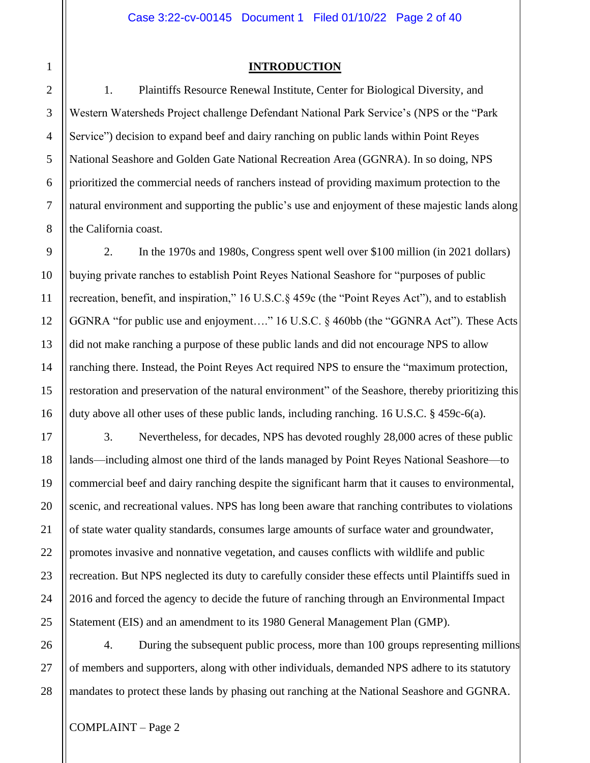## **INTRODUCTION**

1. Plaintiffs Resource Renewal Institute, Center for Biological Diversity, and Western Watersheds Project challenge Defendant National Park Service's (NPS or the "Park Service") decision to expand beef and dairy ranching on public lands within Point Reyes National Seashore and Golden Gate National Recreation Area (GGNRA). In so doing, NPS prioritized the commercial needs of ranchers instead of providing maximum protection to the natural environment and supporting the public's use and enjoyment of these majestic lands along the California coast.

2. In the 1970s and 1980s, Congress spent well over \$100 million (in 2021 dollars) buying private ranches to establish Point Reyes National Seashore for "purposes of public recreation, benefit, and inspiration," 16 U.S.C.§ 459c (the "Point Reyes Act"), and to establish GGNRA "for public use and enjoyment…." 16 U.S.C. § 460bb (the "GGNRA Act"). These Acts did not make ranching a purpose of these public lands and did not encourage NPS to allow ranching there. Instead, the Point Reyes Act required NPS to ensure the "maximum protection, restoration and preservation of the natural environment" of the Seashore, thereby prioritizing this duty above all other uses of these public lands, including ranching. 16 U.S.C. § 459c-6(a).

3. Nevertheless, for decades, NPS has devoted roughly 28,000 acres of these public lands—including almost one third of the lands managed by Point Reyes National Seashore—to commercial beef and dairy ranching despite the significant harm that it causes to environmental, scenic, and recreational values. NPS has long been aware that ranching contributes to violations of state water quality standards, consumes large amounts of surface water and groundwater, promotes invasive and nonnative vegetation, and causes conflicts with wildlife and public recreation. But NPS neglected its duty to carefully consider these effects until Plaintiffs sued in 2016 and forced the agency to decide the future of ranching through an Environmental Impact Statement (EIS) and an amendment to its 1980 General Management Plan (GMP).

4. During the subsequent public process, more than 100 groups representing millions of members and supporters, along with other individuals, demanded NPS adhere to its statutory mandates to protect these lands by phasing out ranching at the National Seashore and GGNRA.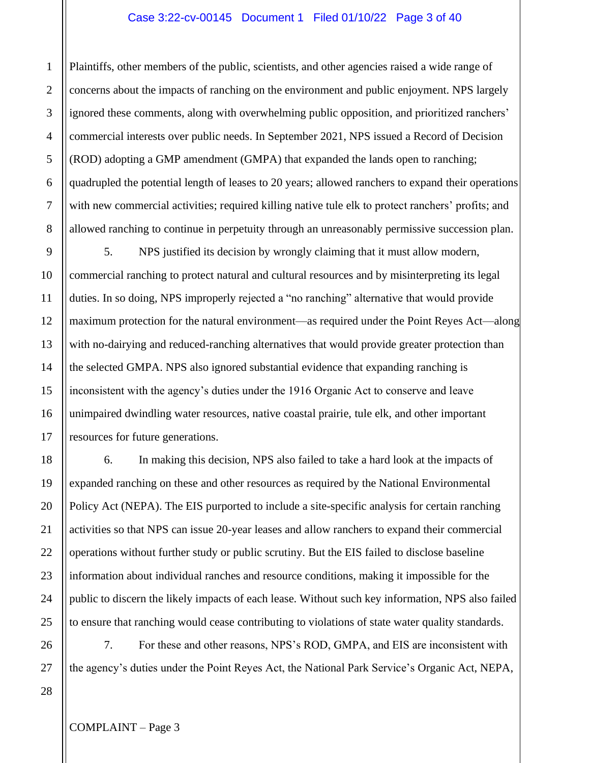#### Case 3:22-cv-00145 Document 1 Filed 01/10/22 Page 3 of 40

Plaintiffs, other members of the public, scientists, and other agencies raised a wide range of concerns about the impacts of ranching on the environment and public enjoyment. NPS largely ignored these comments, along with overwhelming public opposition, and prioritized ranchers' commercial interests over public needs. In September 2021, NPS issued a Record of Decision (ROD) adopting a GMP amendment (GMPA) that expanded the lands open to ranching; quadrupled the potential length of leases to 20 years; allowed ranchers to expand their operations with new commercial activities; required killing native tule elk to protect ranchers' profits; and allowed ranching to continue in perpetuity through an unreasonably permissive succession plan.

5. NPS justified its decision by wrongly claiming that it must allow modern, commercial ranching to protect natural and cultural resources and by misinterpreting its legal duties. In so doing, NPS improperly rejected a "no ranching" alternative that would provide maximum protection for the natural environment—as required under the Point Reyes Act—along with no-dairying and reduced-ranching alternatives that would provide greater protection than the selected GMPA. NPS also ignored substantial evidence that expanding ranching is inconsistent with the agency's duties under the 1916 Organic Act to conserve and leave unimpaired dwindling water resources, native coastal prairie, tule elk, and other important resources for future generations.

6. In making this decision, NPS also failed to take a hard look at the impacts of expanded ranching on these and other resources as required by the National Environmental Policy Act (NEPA). The EIS purported to include a site-specific analysis for certain ranching activities so that NPS can issue 20-year leases and allow ranchers to expand their commercial operations without further study or public scrutiny. But the EIS failed to disclose baseline information about individual ranches and resource conditions, making it impossible for the public to discern the likely impacts of each lease. Without such key information, NPS also failed to ensure that ranching would cease contributing to violations of state water quality standards.

7. For these and other reasons, NPS's ROD, GMPA, and EIS are inconsistent with the agency's duties under the Point Reyes Act, the National Park Service's Organic Act, NEPA,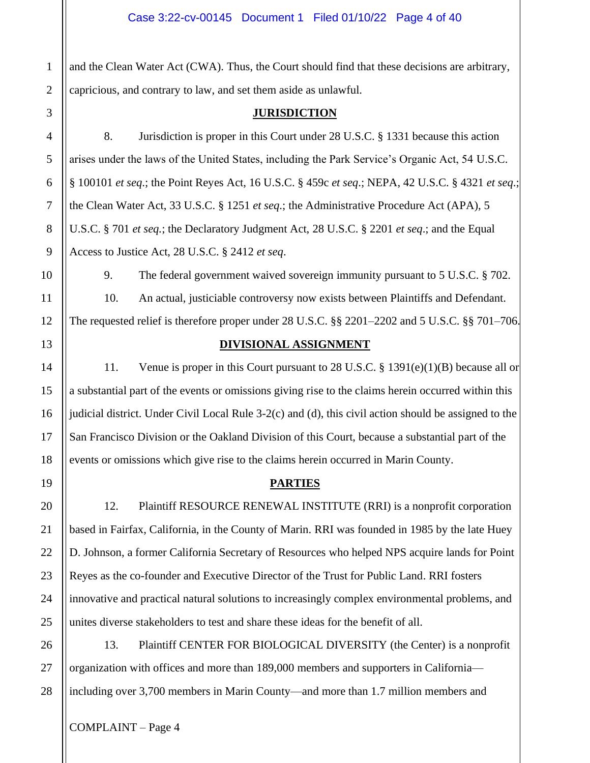and the Clean Water Act (CWA). Thus, the Court should find that these decisions are arbitrary, capricious, and contrary to law, and set them aside as unlawful.

## **JURISDICTION**

8. Jurisdiction is proper in this Court under 28 U.S.C. § 1331 because this action arises under the laws of the United States, including the Park Service's Organic Act, 54 U.S.C. § 100101 *et seq*.; the Point Reyes Act, 16 U.S.C. § 459c *et seq*.; NEPA, 42 U.S.C. § 4321 *et seq*.; the Clean Water Act, 33 U.S.C. § 1251 *et seq*.; the Administrative Procedure Act (APA), 5 U.S.C. § 701 *et seq.*; the Declaratory Judgment Act, 28 U.S.C. § 2201 *et seq*.; and the Equal Access to Justice Act, 28 U.S.C. § 2412 *et seq*.

9. The federal government waived sovereign immunity pursuant to 5 U.S.C. § 702.

10. An actual, justiciable controversy now exists between Plaintiffs and Defendant.

The requested relief is therefore proper under 28 U.S.C. §§ 2201–2202 and 5 U.S.C. §§ 701–706.

## **DIVISIONAL ASSIGNMENT**

11. Venue is proper in this Court pursuant to 28 U.S.C. § 1391(e)(1)(B) because all or a substantial part of the events or omissions giving rise to the claims herein occurred within this judicial district. Under Civil Local Rule 3-2(c) and (d), this civil action should be assigned to the San Francisco Division or the Oakland Division of this Court, because a substantial part of the events or omissions which give rise to the claims herein occurred in Marin County.

# **PARTIES**

12. Plaintiff RESOURCE RENEWAL INSTITUTE (RRI) is a nonprofit corporation based in Fairfax, California, in the County of Marin. RRI was founded in 1985 by the late Huey D. Johnson, a former California Secretary of Resources who helped NPS acquire lands for Point Reyes as the co-founder and Executive Director of the Trust for Public Land. RRI fosters innovative and practical natural solutions to increasingly complex environmental problems, and unites diverse stakeholders to test and share these ideas for the benefit of all.

13. Plaintiff CENTER FOR BIOLOGICAL DIVERSITY (the Center) is a nonprofit organization with offices and more than 189,000 members and supporters in California including over 3,700 members in Marin County—and more than 1.7 million members and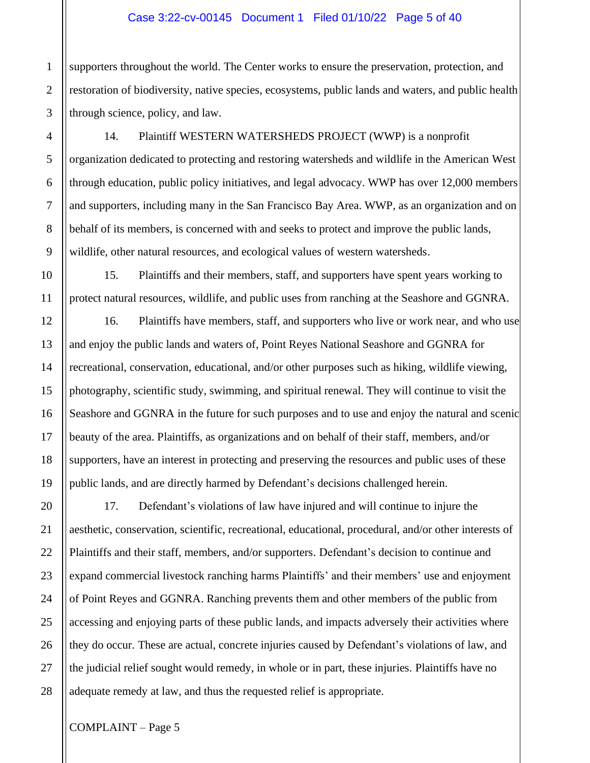#### Case 3:22-cv-00145 Document 1 Filed 01/10/22 Page 5 of 40

supporters throughout the world. The Center works to ensure the preservation, protection, and restoration of biodiversity, native species, ecosystems, public lands and waters, and public health through science, policy, and law.

14. Plaintiff WESTERN WATERSHEDS PROJECT (WWP) is a nonprofit organization dedicated to protecting and restoring watersheds and wildlife in the American West through education, public policy initiatives, and legal advocacy. WWP has over 12,000 members and supporters, including many in the San Francisco Bay Area. WWP, as an organization and on behalf of its members, is concerned with and seeks to protect and improve the public lands, wildlife, other natural resources, and ecological values of western watersheds.

15. Plaintiffs and their members, staff, and supporters have spent years working to protect natural resources, wildlife, and public uses from ranching at the Seashore and GGNRA.

16. Plaintiffs have members, staff, and supporters who live or work near, and who use and enjoy the public lands and waters of, Point Reyes National Seashore and GGNRA for recreational, conservation, educational, and/or other purposes such as hiking, wildlife viewing, photography, scientific study, swimming, and spiritual renewal. They will continue to visit the Seashore and GGNRA in the future for such purposes and to use and enjoy the natural and scenic beauty of the area. Plaintiffs, as organizations and on behalf of their staff, members, and/or supporters, have an interest in protecting and preserving the resources and public uses of these public lands, and are directly harmed by Defendant's decisions challenged herein.

17. Defendant's violations of law have injured and will continue to injure the aesthetic, conservation, scientific, recreational, educational, procedural, and/or other interests of Plaintiffs and their staff, members, and/or supporters. Defendant's decision to continue and expand commercial livestock ranching harms Plaintiffs' and their members' use and enjoyment of Point Reyes and GGNRA. Ranching prevents them and other members of the public from accessing and enjoying parts of these public lands, and impacts adversely their activities where they do occur. These are actual, concrete injuries caused by Defendant's violations of law, and the judicial relief sought would remedy, in whole or in part, these injuries. Plaintiffs have no adequate remedy at law, and thus the requested relief is appropriate.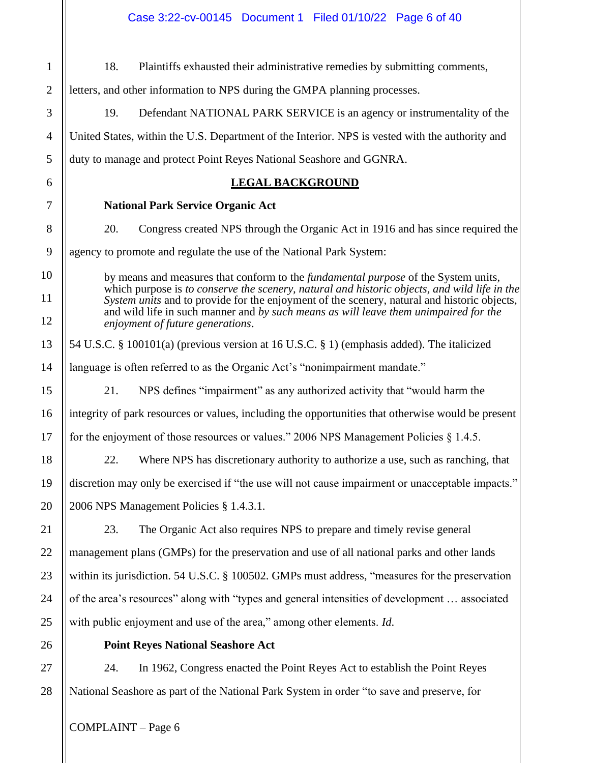| $\mathbf{1}$   | Plaintiffs exhausted their administrative remedies by submitting comments,<br>18.                                                                                                                                                                                                                                                                                                                                    |  |
|----------------|----------------------------------------------------------------------------------------------------------------------------------------------------------------------------------------------------------------------------------------------------------------------------------------------------------------------------------------------------------------------------------------------------------------------|--|
| $\overline{2}$ | letters, and other information to NPS during the GMPA planning processes.                                                                                                                                                                                                                                                                                                                                            |  |
| 3              | Defendant NATIONAL PARK SERVICE is an agency or instrumentality of the<br>19.                                                                                                                                                                                                                                                                                                                                        |  |
| $\overline{4}$ | United States, within the U.S. Department of the Interior. NPS is vested with the authority and                                                                                                                                                                                                                                                                                                                      |  |
| 5              | duty to manage and protect Point Reyes National Seashore and GGNRA.                                                                                                                                                                                                                                                                                                                                                  |  |
| 6              | <b>LEGAL BACKGROUND</b>                                                                                                                                                                                                                                                                                                                                                                                              |  |
| 7              | <b>National Park Service Organic Act</b>                                                                                                                                                                                                                                                                                                                                                                             |  |
| 8              | 20.<br>Congress created NPS through the Organic Act in 1916 and has since required the                                                                                                                                                                                                                                                                                                                               |  |
| 9              | agency to promote and regulate the use of the National Park System:                                                                                                                                                                                                                                                                                                                                                  |  |
| 10             | by means and measures that conform to the <i>fundamental purpose</i> of the System units,<br>which purpose is to conserve the scenery, natural and historic objects, and wild life in the<br>System units and to provide for the enjoyment of the scenery, natural and historic objects,<br>and wild life in such manner and by such means as will leave them unimpaired for the<br>enjoyment of future generations. |  |
| 11             |                                                                                                                                                                                                                                                                                                                                                                                                                      |  |
| 12             |                                                                                                                                                                                                                                                                                                                                                                                                                      |  |
| 13             | 54 U.S.C. § 100101(a) (previous version at 16 U.S.C. § 1) (emphasis added). The italicized                                                                                                                                                                                                                                                                                                                           |  |
| 14             | language is often referred to as the Organic Act's "nonimpairment mandate."                                                                                                                                                                                                                                                                                                                                          |  |
| 15             | NPS defines "impairment" as any authorized activity that "would harm the<br>21.                                                                                                                                                                                                                                                                                                                                      |  |
| 16             | integrity of park resources or values, including the opportunities that otherwise would be present                                                                                                                                                                                                                                                                                                                   |  |
| 17             | for the enjoyment of those resources or values." 2006 NPS Management Policies $\S 1.4.5$ .                                                                                                                                                                                                                                                                                                                           |  |
| 18             | 22.<br>Where NPS has discretionary authority to authorize a use, such as ranching, that                                                                                                                                                                                                                                                                                                                              |  |
| 19             | discretion may only be exercised if "the use will not cause impairment or unacceptable impacts."                                                                                                                                                                                                                                                                                                                     |  |
| 20             | 2006 NPS Management Policies § 1.4.3.1.                                                                                                                                                                                                                                                                                                                                                                              |  |
| 21             | 23.<br>The Organic Act also requires NPS to prepare and timely revise general                                                                                                                                                                                                                                                                                                                                        |  |
| 22             | management plans (GMPs) for the preservation and use of all national parks and other lands                                                                                                                                                                                                                                                                                                                           |  |
| 23             | within its jurisdiction. 54 U.S.C. § 100502. GMPs must address, "measures for the preservation                                                                                                                                                                                                                                                                                                                       |  |
| 24             | of the area's resources" along with "types and general intensities of development  associated                                                                                                                                                                                                                                                                                                                        |  |
| 25             | with public enjoyment and use of the area," among other elements. Id.                                                                                                                                                                                                                                                                                                                                                |  |
| 26             | <b>Point Reyes National Seashore Act</b>                                                                                                                                                                                                                                                                                                                                                                             |  |
| 27             | 24.<br>In 1962, Congress enacted the Point Reyes Act to establish the Point Reyes                                                                                                                                                                                                                                                                                                                                    |  |
| 28             | National Seashore as part of the National Park System in order "to save and preserve, for                                                                                                                                                                                                                                                                                                                            |  |
|                |                                                                                                                                                                                                                                                                                                                                                                                                                      |  |

 $\vert$  COMPLAINT – Page 6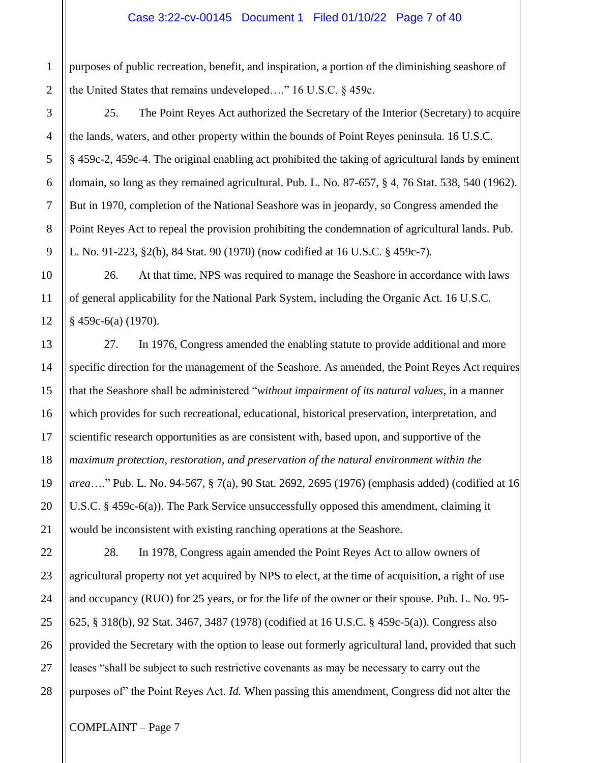#### Case 3:22-cv-00145 Document 1 Filed 01/10/22 Page 7 of 40

purposes of public recreation, benefit, and inspiration, a portion of the diminishing seashore of the United States that remains undeveloped…." 16 U.S.C. § 459c.

25. The Point Reyes Act authorized the Secretary of the Interior (Secretary) to acquire the lands, waters, and other property within the bounds of Point Reyes peninsula. 16 U.S.C. § 459c-2, 459c-4. The original enabling act prohibited the taking of agricultural lands by eminent domain, so long as they remained agricultural. Pub. L. No. 87-657, § 4, 76 Stat. 538, 540 (1962). But in 1970, completion of the National Seashore was in jeopardy, so Congress amended the Point Reyes Act to repeal the provision prohibiting the condemnation of agricultural lands. Pub. L. No. 91-223, §2(b), 84 Stat. 90 (1970) (now codified at 16 U.S.C. § 459c-7)*.*

26. At that time, NPS was required to manage the Seashore in accordance with laws of general applicability for the National Park System, including the Organic Act. 16 U.S.C. § 459c-6(a) (1970).

27. In 1976, Congress amended the enabling statute to provide additional and more specific direction for the management of the Seashore. As amended, the Point Reyes Act requires that the Seashore shall be administered "*without impairment of its natural values*, in a manner which provides for such recreational, educational, historical preservation, interpretation, and scientific research opportunities as are consistent with, based upon, and supportive of the *maximum protection, restoration, and preservation of the natural environment within the area*…." Pub. L. No. 94-567, § 7(a), 90 Stat. 2692, 2695 (1976) (emphasis added) (codified at 16 U.S.C. § 459c-6(a)). The Park Service unsuccessfully opposed this amendment, claiming it would be inconsistent with existing ranching operations at the Seashore.

28. In 1978, Congress again amended the Point Reyes Act to allow owners of agricultural property not yet acquired by NPS to elect, at the time of acquisition, a right of use and occupancy (RUO) for 25 years, or for the life of the owner or their spouse. Pub. L. No. 95- 625, § 318(b), 92 Stat. 3467, 3487 (1978) (codified at 16 U.S.C. § 459c-5(a)). Congress also provided the Secretary with the option to lease out formerly agricultural land, provided that such leases "shall be subject to such restrictive covenants as may be necessary to carry out the purposes of" the Point Reyes Act. *Id.* When passing this amendment, Congress did not alter the

1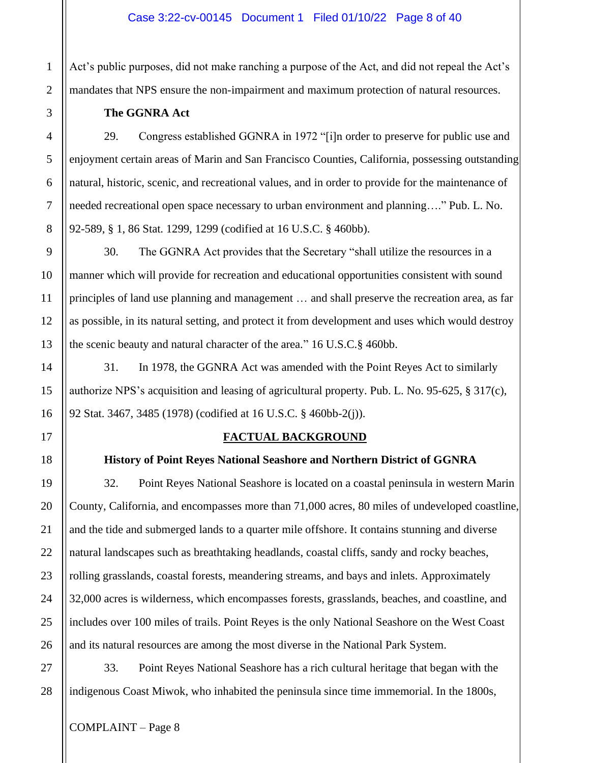Act's public purposes, did not make ranching a purpose of the Act, and did not repeal the Act's mandates that NPS ensure the non-impairment and maximum protection of natural resources.

## **The GGNRA Act**

29. Congress established GGNRA in 1972 "[i]n order to preserve for public use and enjoyment certain areas of Marin and San Francisco Counties, California, possessing outstanding natural, historic, scenic, and recreational values, and in order to provide for the maintenance of needed recreational open space necessary to urban environment and planning…." Pub. L. No. 92-589, § 1, 86 Stat. 1299, 1299 (codified at 16 U.S.C. § 460bb).

30. The GGNRA Act provides that the Secretary "shall utilize the resources in a manner which will provide for recreation and educational opportunities consistent with sound principles of land use planning and management … and shall preserve the recreation area, as far as possible, in its natural setting, and protect it from development and uses which would destroy the scenic beauty and natural character of the area." 16 U.S.C.§ 460bb.

31. In 1978, the GGNRA Act was amended with the Point Reyes Act to similarly authorize NPS's acquisition and leasing of agricultural property. Pub. L. No. 95-625, § 317(c), 92 Stat. 3467, 3485 (1978) (codified at 16 U.S.C. § 460bb-2(j)).

## **FACTUAL BACKGROUND**

# **History of Point Reyes National Seashore and Northern District of GGNRA**

32. Point Reyes National Seashore is located on a coastal peninsula in western Marin County, California, and encompasses more than 71,000 acres, 80 miles of undeveloped coastline, and the tide and submerged lands to a quarter mile offshore. It contains stunning and diverse natural landscapes such as breathtaking headlands, coastal cliffs, sandy and rocky beaches, rolling grasslands, coastal forests, meandering streams, and bays and inlets. Approximately 32,000 acres is wilderness, which encompasses forests, grasslands, beaches, and coastline, and includes over 100 miles of trails. Point Reyes is the only National Seashore on the West Coast and its natural resources are among the most diverse in the National Park System.

33. Point Reyes National Seashore has a rich cultural heritage that began with the indigenous Coast Miwok, who inhabited the peninsula since time immemorial. In the 1800s,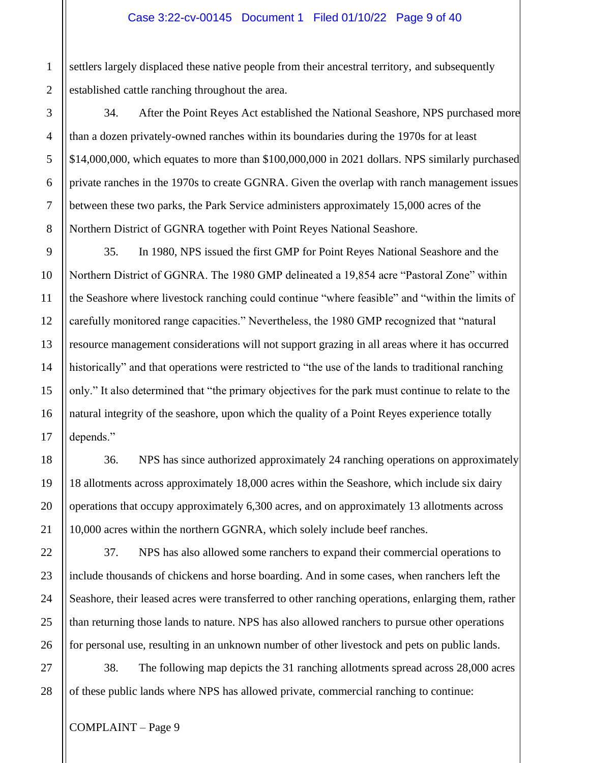settlers largely displaced these native people from their ancestral territory, and subsequently established cattle ranching throughout the area.

34. After the Point Reyes Act established the National Seashore, NPS purchased more than a dozen privately-owned ranches within its boundaries during the 1970s for at least \$14,000,000, which equates to more than \$100,000,000 in 2021 dollars. NPS similarly purchased private ranches in the 1970s to create GGNRA. Given the overlap with ranch management issues between these two parks, the Park Service administers approximately 15,000 acres of the Northern District of GGNRA together with Point Reyes National Seashore.

35. In 1980, NPS issued the first GMP for Point Reyes National Seashore and the Northern District of GGNRA. The 1980 GMP delineated a 19,854 acre "Pastoral Zone" within the Seashore where livestock ranching could continue "where feasible" and "within the limits of carefully monitored range capacities." Nevertheless, the 1980 GMP recognized that "natural resource management considerations will not support grazing in all areas where it has occurred historically" and that operations were restricted to "the use of the lands to traditional ranching only." It also determined that "the primary objectives for the park must continue to relate to the natural integrity of the seashore, upon which the quality of a Point Reyes experience totally depends."

36. NPS has since authorized approximately 24 ranching operations on approximately 18 allotments across approximately 18,000 acres within the Seashore, which include six dairy operations that occupy approximately 6,300 acres, and on approximately 13 allotments across 10,000 acres within the northern GGNRA, which solely include beef ranches.

37. NPS has also allowed some ranchers to expand their commercial operations to include thousands of chickens and horse boarding. And in some cases, when ranchers left the Seashore, their leased acres were transferred to other ranching operations, enlarging them, rather than returning those lands to nature. NPS has also allowed ranchers to pursue other operations for personal use, resulting in an unknown number of other livestock and pets on public lands.

38. The following map depicts the 31 ranching allotments spread across 28,000 acres of these public lands where NPS has allowed private, commercial ranching to continue:

COMPLAINT – Page 9

1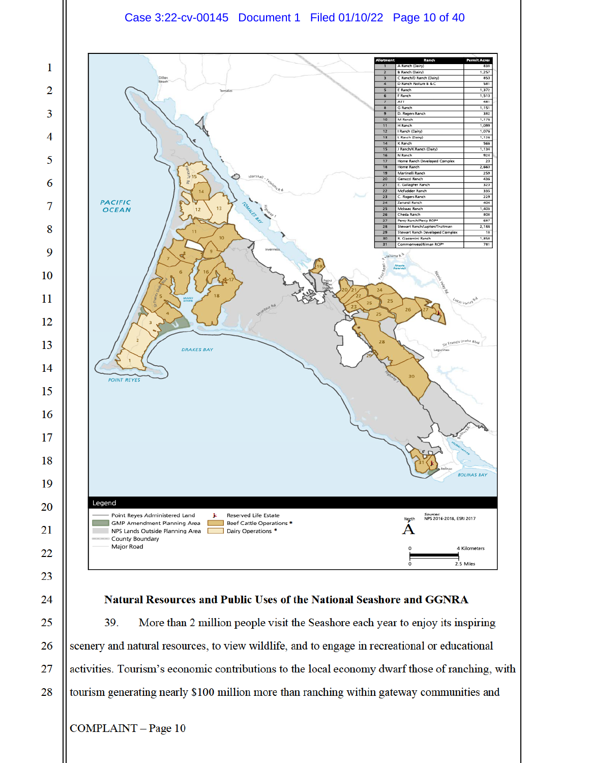# Case 3:22-cv-00145 Document 1 Filed 01/10/22 Page 10 of 40



## Natural Resources and Public Uses of the National Seashore and GGNRA

39. More than 2 million people visit the Seashore each year to enjoy its inspiring scenery and natural resources, to view wildlife, and to engage in recreational or educational activities. Tourism's economic contributions to the local economy dwarf those of ranching, with tourism generating nearly \$100 million more than ranching within gateway communities and

COMPLAINT - Page 10

24

25

26

27

28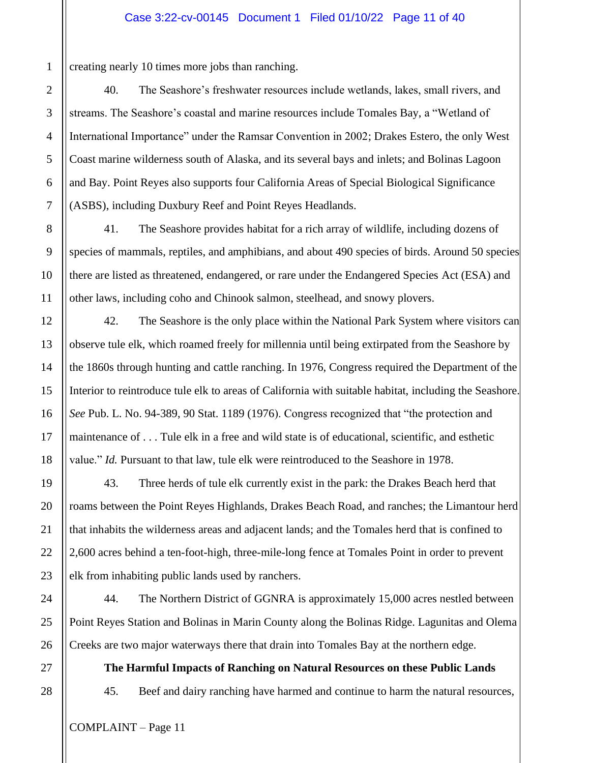creating nearly 10 times more jobs than ranching.

40. The Seashore's freshwater resources include wetlands, lakes, small rivers, and streams. The Seashore's coastal and marine resources include Tomales Bay, a "Wetland of International Importance" under the Ramsar Convention in 2002; Drakes Estero, the only West Coast marine wilderness south of Alaska, and its several bays and inlets; and Bolinas Lagoon and Bay. Point Reyes also supports four California Areas of Special Biological Significance (ASBS), including Duxbury Reef and Point Reyes Headlands.

41. The Seashore provides habitat for a rich array of wildlife, including dozens of species of mammals, reptiles, and amphibians, and about 490 species of birds. Around 50 species there are listed as threatened, endangered, or rare under the Endangered Species Act (ESA) and other laws, including coho and Chinook salmon, steelhead, and snowy plovers.

42. The Seashore is the only place within the National Park System where visitors can observe tule elk, which roamed freely for millennia until being extirpated from the Seashore by the 1860s through hunting and cattle ranching. In 1976, Congress required the Department of the Interior to reintroduce tule elk to areas of California with suitable habitat, including the Seashore. *See* Pub. L. No. 94-389, 90 Stat. 1189 (1976). Congress recognized that "the protection and maintenance of . . . Tule elk in a free and wild state is of educational, scientific, and esthetic value." *Id.* Pursuant to that law, tule elk were reintroduced to the Seashore in 1978.

43. Three herds of tule elk currently exist in the park: the Drakes Beach herd that roams between the Point Reyes Highlands, Drakes Beach Road, and ranches; the Limantour herd that inhabits the wilderness areas and adjacent lands; and the Tomales herd that is confined to 2,600 acres behind a ten-foot-high, three-mile-long fence at Tomales Point in order to prevent elk from inhabiting public lands used by ranchers.

44. The Northern District of GGNRA is approximately 15,000 acres nestled between Point Reyes Station and Bolinas in Marin County along the Bolinas Ridge. Lagunitas and Olema Creeks are two major waterways there that drain into Tomales Bay at the northern edge.

**The Harmful Impacts of Ranching on Natural Resources on these Public Lands** 45. Beef and dairy ranching have harmed and continue to harm the natural resources,

1

2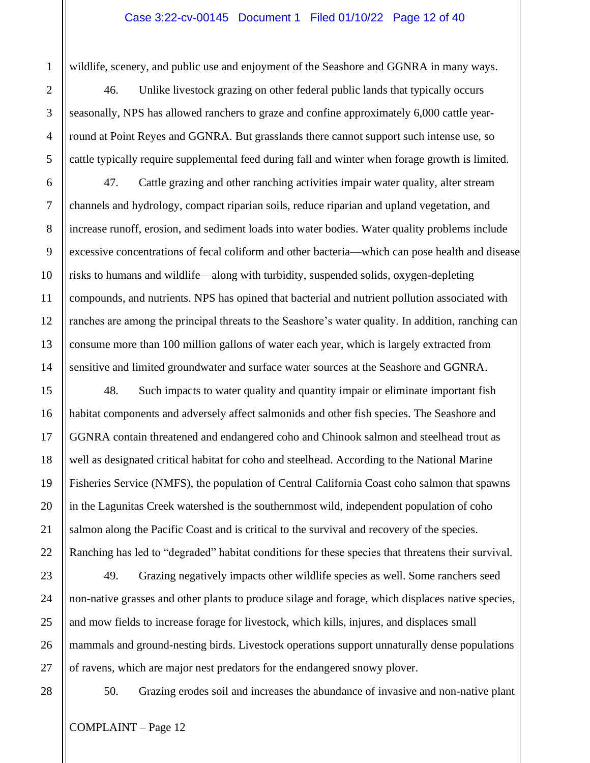#### Case 3:22-cv-00145 Document 1 Filed 01/10/22 Page 12 of 40

wildlife, scenery, and public use and enjoyment of the Seashore and GGNRA in many ways.

46. Unlike livestock grazing on other federal public lands that typically occurs seasonally, NPS has allowed ranchers to graze and confine approximately 6,000 cattle yearround at Point Reyes and GGNRA. But grasslands there cannot support such intense use, so cattle typically require supplemental feed during fall and winter when forage growth is limited.

47. Cattle grazing and other ranching activities impair water quality, alter stream channels and hydrology, compact riparian soils, reduce riparian and upland vegetation, and increase runoff, erosion, and sediment loads into water bodies. Water quality problems include excessive concentrations of fecal coliform and other bacteria—which can pose health and disease risks to humans and wildlife––along with turbidity, suspended solids, oxygen-depleting compounds, and nutrients. NPS has opined that bacterial and nutrient pollution associated with ranches are among the principal threats to the Seashore's water quality. In addition, ranching can consume more than 100 million gallons of water each year, which is largely extracted from sensitive and limited groundwater and surface water sources at the Seashore and GGNRA.

48. Such impacts to water quality and quantity impair or eliminate important fish habitat components and adversely affect salmonids and other fish species. The Seashore and GGNRA contain threatened and endangered coho and Chinook salmon and steelhead trout as well as designated critical habitat for coho and steelhead. According to the National Marine Fisheries Service (NMFS), the population of Central California Coast coho salmon that spawns in the Lagunitas Creek watershed is the southernmost wild, independent population of coho salmon along the Pacific Coast and is critical to the survival and recovery of the species. Ranching has led to "degraded" habitat conditions for these species that threatens their survival.

49. Grazing negatively impacts other wildlife species as well. Some ranchers seed non-native grasses and other plants to produce silage and forage, which displaces native species, and mow fields to increase forage for livestock, which kills, injures, and displaces small mammals and ground-nesting birds. Livestock operations support unnaturally dense populations of ravens, which are major nest predators for the endangered snowy plover.

50. Grazing erodes soil and increases the abundance of invasive and non-native plant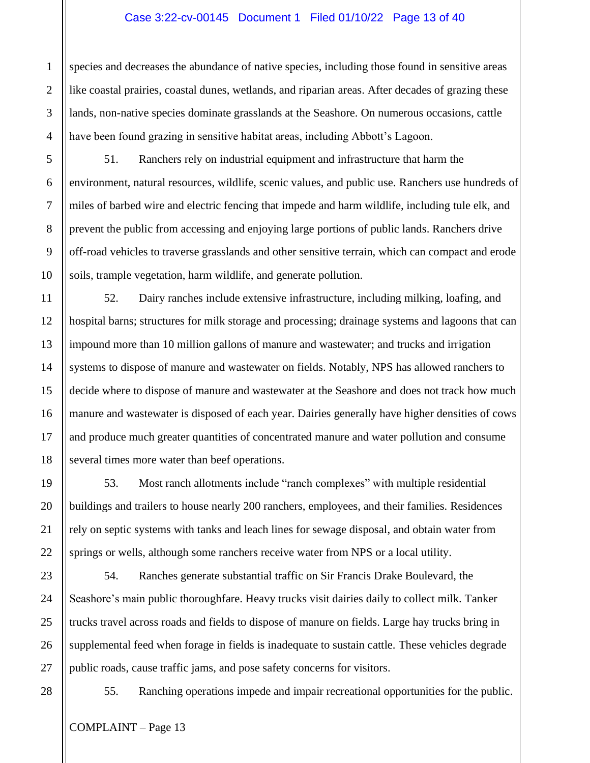#### Case 3:22-cv-00145 Document 1 Filed 01/10/22 Page 13 of 40

species and decreases the abundance of native species, including those found in sensitive areas like coastal prairies, coastal dunes, wetlands, and riparian areas. After decades of grazing these lands, non-native species dominate grasslands at the Seashore. On numerous occasions, cattle have been found grazing in sensitive habitat areas, including Abbott's Lagoon.

51. Ranchers rely on industrial equipment and infrastructure that harm the environment, natural resources, wildlife, scenic values, and public use. Ranchers use hundreds of miles of barbed wire and electric fencing that impede and harm wildlife, including tule elk, and prevent the public from accessing and enjoying large portions of public lands. Ranchers drive off-road vehicles to traverse grasslands and other sensitive terrain, which can compact and erode soils, trample vegetation, harm wildlife, and generate pollution.

52. Dairy ranches include extensive infrastructure, including milking, loafing, and hospital barns; structures for milk storage and processing; drainage systems and lagoons that can impound more than 10 million gallons of manure and wastewater; and trucks and irrigation systems to dispose of manure and wastewater on fields. Notably, NPS has allowed ranchers to decide where to dispose of manure and wastewater at the Seashore and does not track how much manure and wastewater is disposed of each year. Dairies generally have higher densities of cows and produce much greater quantities of concentrated manure and water pollution and consume several times more water than beef operations.

53. Most ranch allotments include "ranch complexes" with multiple residential buildings and trailers to house nearly 200 ranchers, employees, and their families. Residences rely on septic systems with tanks and leach lines for sewage disposal, and obtain water from springs or wells, although some ranchers receive water from NPS or a local utility.

54. Ranches generate substantial traffic on Sir Francis Drake Boulevard, the Seashore's main public thoroughfare. Heavy trucks visit dairies daily to collect milk. Tanker trucks travel across roads and fields to dispose of manure on fields. Large hay trucks bring in supplemental feed when forage in fields is inadequate to sustain cattle. These vehicles degrade public roads, cause traffic jams, and pose safety concerns for visitors.

55. Ranching operations impede and impair recreational opportunities for the public.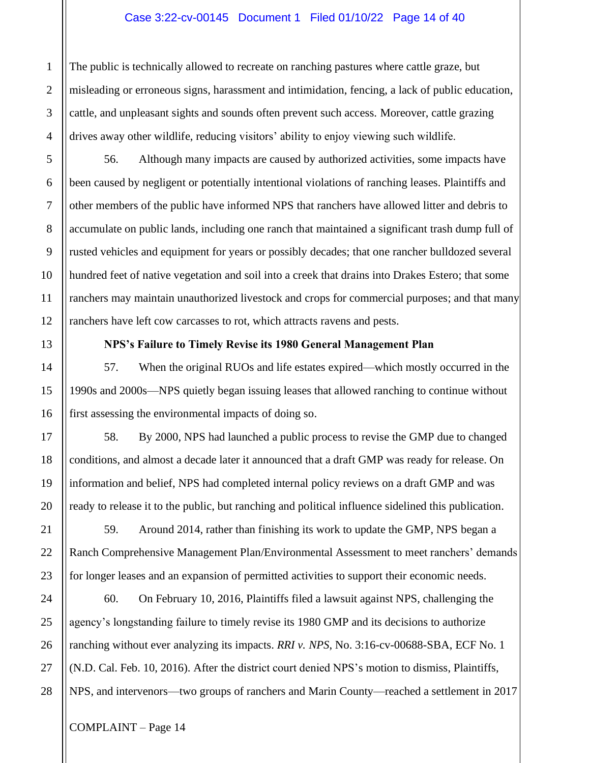### Case 3:22-cv-00145 Document 1 Filed 01/10/22 Page 14 of 40

The public is technically allowed to recreate on ranching pastures where cattle graze, but misleading or erroneous signs, harassment and intimidation, fencing, a lack of public education, cattle, and unpleasant sights and sounds often prevent such access. Moreover, cattle grazing drives away other wildlife, reducing visitors' ability to enjoy viewing such wildlife.

56. Although many impacts are caused by authorized activities, some impacts have been caused by negligent or potentially intentional violations of ranching leases. Plaintiffs and other members of the public have informed NPS that ranchers have allowed litter and debris to accumulate on public lands, including one ranch that maintained a significant trash dump full of rusted vehicles and equipment for years or possibly decades; that one rancher bulldozed several hundred feet of native vegetation and soil into a creek that drains into Drakes Estero; that some ranchers may maintain unauthorized livestock and crops for commercial purposes; and that many ranchers have left cow carcasses to rot, which attracts ravens and pests.

### **NPS's Failure to Timely Revise its 1980 General Management Plan**

57. When the original RUOs and life estates expired—which mostly occurred in the 1990s and 2000s––NPS quietly began issuing leases that allowed ranching to continue without first assessing the environmental impacts of doing so.

58. By 2000, NPS had launched a public process to revise the GMP due to changed conditions, and almost a decade later it announced that a draft GMP was ready for release. On information and belief, NPS had completed internal policy reviews on a draft GMP and was ready to release it to the public, but ranching and political influence sidelined this publication.

59. Around 2014, rather than finishing its work to update the GMP, NPS began a Ranch Comprehensive Management Plan/Environmental Assessment to meet ranchers' demands for longer leases and an expansion of permitted activities to support their economic needs.

60. On February 10, 2016, Plaintiffs filed a lawsuit against NPS, challenging the agency's longstanding failure to timely revise its 1980 GMP and its decisions to authorize ranching without ever analyzing its impacts. *RRI v. NPS*, No. 3:16-cv-00688-SBA, ECF No. 1 (N.D. Cal. Feb. 10, 2016). After the district court denied NPS's motion to dismiss, Plaintiffs, NPS, and intervenors—two groups of ranchers and Marin County—reached a settlement in 2017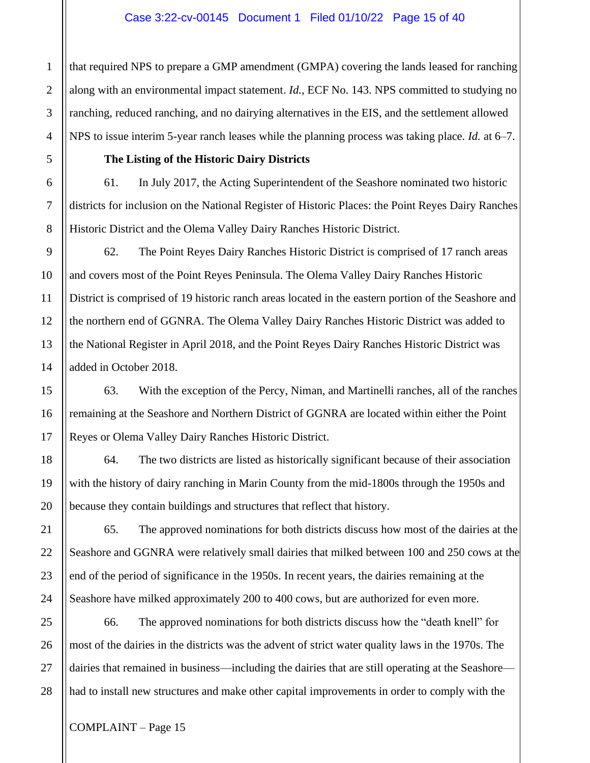#### Case 3:22-cv-00145 Document 1 Filed 01/10/22 Page 15 of 40

that required NPS to prepare a GMP amendment (GMPA) covering the lands leased for ranching along with an environmental impact statement. *Id.*, ECF No. 143. NPS committed to studying no ranching, reduced ranching, and no dairying alternatives in the EIS, and the settlement allowed NPS to issue interim 5-year ranch leases while the planning process was taking place. *Id.* at 6–7.

## **The Listing of the Historic Dairy Districts**

61. In July 2017, the Acting Superintendent of the Seashore nominated two historic districts for inclusion on the National Register of Historic Places: the Point Reyes Dairy Ranches Historic District and the Olema Valley Dairy Ranches Historic District.

62. The Point Reyes Dairy Ranches Historic District is comprised of 17 ranch areas and covers most of the Point Reyes Peninsula. The Olema Valley Dairy Ranches Historic District is comprised of 19 historic ranch areas located in the eastern portion of the Seashore and the northern end of GGNRA. The Olema Valley Dairy Ranches Historic District was added to the National Register in April 2018, and the Point Reyes Dairy Ranches Historic District was added in October 2018.

63. With the exception of the Percy, Niman, and Martinelli ranches, all of the ranches remaining at the Seashore and Northern District of GGNRA are located within either the Point Reyes or Olema Valley Dairy Ranches Historic District.

64. The two districts are listed as historically significant because of their association with the history of dairy ranching in Marin County from the mid-1800s through the 1950s and because they contain buildings and structures that reflect that history.

65. The approved nominations for both districts discuss how most of the dairies at the Seashore and GGNRA were relatively small dairies that milked between 100 and 250 cows at the end of the period of significance in the 1950s. In recent years, the dairies remaining at the Seashore have milked approximately 200 to 400 cows, but are authorized for even more.

66. The approved nominations for both districts discuss how the "death knell" for most of the dairies in the districts was the advent of strict water quality laws in the 1970s. The dairies that remained in business—including the dairies that are still operating at the Seashore had to install new structures and make other capital improvements in order to comply with the

1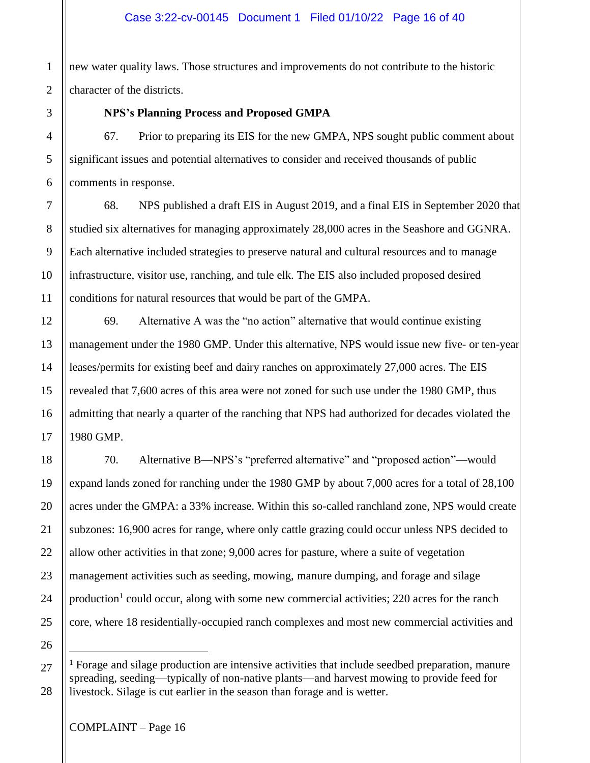## Case 3:22-cv-00145 Document 1 Filed 01/10/22 Page 16 of 40

new water quality laws. Those structures and improvements do not contribute to the historic character of the districts.

#### **NPS's Planning Process and Proposed GMPA**

67. Prior to preparing its EIS for the new GMPA, NPS sought public comment about significant issues and potential alternatives to consider and received thousands of public comments in response.

68. NPS published a draft EIS in August 2019, and a final EIS in September 2020 that studied six alternatives for managing approximately 28,000 acres in the Seashore and GGNRA. Each alternative included strategies to preserve natural and cultural resources and to manage infrastructure, visitor use, ranching, and tule elk. The EIS also included proposed desired conditions for natural resources that would be part of the GMPA.

69. Alternative A was the "no action" alternative that would continue existing management under the 1980 GMP. Under this alternative, NPS would issue new five- or ten-year leases/permits for existing beef and dairy ranches on approximately 27,000 acres. The EIS revealed that 7,600 acres of this area were not zoned for such use under the 1980 GMP, thus admitting that nearly a quarter of the ranching that NPS had authorized for decades violated the 1980 GMP.

70. Alternative B—NPS's "preferred alternative" and "proposed action"––would expand lands zoned for ranching under the 1980 GMP by about 7,000 acres for a total of 28,100 acres under the GMPA: a 33% increase. Within this so-called ranchland zone, NPS would create subzones: 16,900 acres for range, where only cattle grazing could occur unless NPS decided to allow other activities in that zone; 9,000 acres for pasture, where a suite of vegetation management activities such as seeding, mowing, manure dumping, and forage and silage production<sup>1</sup> could occur, along with some new commercial activities; 220 acres for the ranch core, where 18 residentially-occupied ranch complexes and most new commercial activities and

<sup>&</sup>lt;sup>1</sup> Forage and silage production are intensive activities that include seedbed preparation, manure spreading, seeding—typically of non-native plants—and harvest mowing to provide feed for livestock. Silage is cut earlier in the season than forage and is wetter.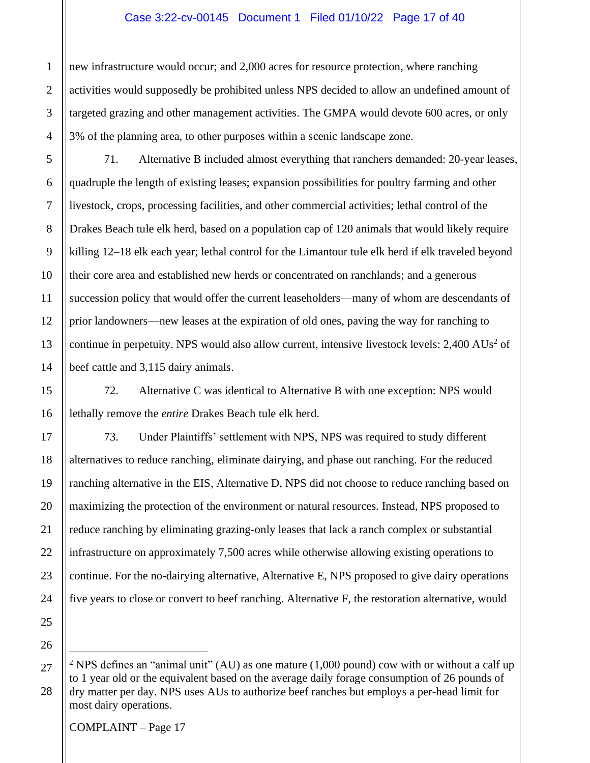### Case 3:22-cv-00145 Document 1 Filed 01/10/22 Page 17 of 40

new infrastructure would occur; and 2,000 acres for resource protection, where ranching activities would supposedly be prohibited unless NPS decided to allow an undefined amount of targeted grazing and other management activities. The GMPA would devote 600 acres, or only 3% of the planning area, to other purposes within a scenic landscape zone.

71. Alternative B included almost everything that ranchers demanded: 20-year leases, quadruple the length of existing leases; expansion possibilities for poultry farming and other livestock, crops, processing facilities, and other commercial activities; lethal control of the Drakes Beach tule elk herd, based on a population cap of 120 animals that would likely require killing 12–18 elk each year; lethal control for the Limantour tule elk herd if elk traveled beyond their core area and established new herds or concentrated on ranchlands; and a generous succession policy that would offer the current leaseholders—many of whom are descendants of prior landowners––new leases at the expiration of old ones, paving the way for ranching to continue in perpetuity. NPS would also allow current, intensive livestock levels:  $2,400$  AUs<sup>2</sup> of beef cattle and 3,115 dairy animals.

72. Alternative C was identical to Alternative B with one exception: NPS would lethally remove the *entire* Drakes Beach tule elk herd.

73. Under Plaintiffs' settlement with NPS, NPS was required to study different alternatives to reduce ranching, eliminate dairying, and phase out ranching. For the reduced ranching alternative in the EIS, Alternative D, NPS did not choose to reduce ranching based on maximizing the protection of the environment or natural resources. Instead, NPS proposed to reduce ranching by eliminating grazing-only leases that lack a ranch complex or substantial infrastructure on approximately 7,500 acres while otherwise allowing existing operations to continue. For the no-dairying alternative, Alternative E, NPS proposed to give dairy operations five years to close or convert to beef ranching. Alternative F, the restoration alternative, would

<sup>2</sup> NPS defines an "animal unit" (AU) as one mature (1,000 pound) cow with or without a calf up to 1 year old or the equivalent based on the average daily forage consumption of 26 pounds of dry matter per day. NPS uses AUs to authorize beef ranches but employs a per-head limit for most dairy operations.

COMPLAINT – Page 17

1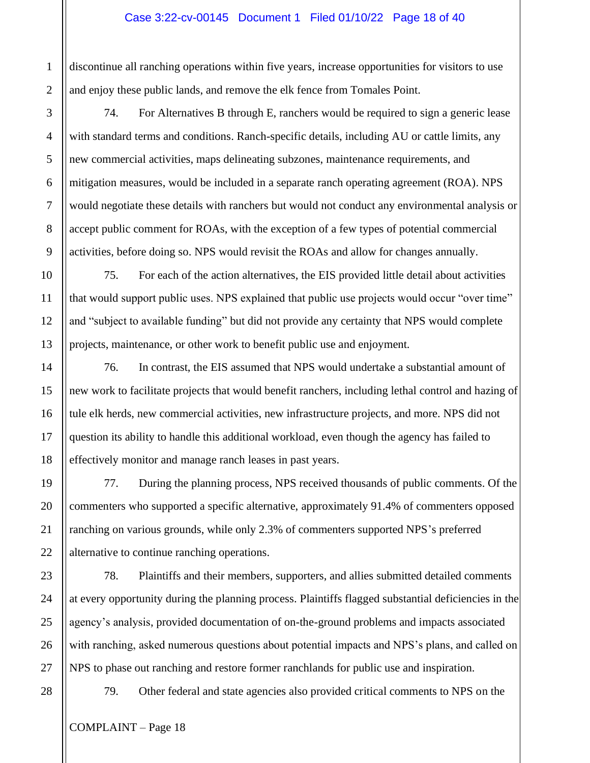#### Case 3:22-cv-00145 Document 1 Filed 01/10/22 Page 18 of 40

discontinue all ranching operations within five years, increase opportunities for visitors to use and enjoy these public lands, and remove the elk fence from Tomales Point.

74. For Alternatives B through E, ranchers would be required to sign a generic lease with standard terms and conditions. Ranch-specific details, including AU or cattle limits, any new commercial activities, maps delineating subzones, maintenance requirements, and mitigation measures, would be included in a separate ranch operating agreement (ROA). NPS would negotiate these details with ranchers but would not conduct any environmental analysis or accept public comment for ROAs, with the exception of a few types of potential commercial activities, before doing so. NPS would revisit the ROAs and allow for changes annually.

75. For each of the action alternatives, the EIS provided little detail about activities that would support public uses. NPS explained that public use projects would occur "over time" and "subject to available funding" but did not provide any certainty that NPS would complete projects, maintenance, or other work to benefit public use and enjoyment.

76. In contrast, the EIS assumed that NPS would undertake a substantial amount of new work to facilitate projects that would benefit ranchers, including lethal control and hazing of tule elk herds, new commercial activities, new infrastructure projects, and more. NPS did not question its ability to handle this additional workload, even though the agency has failed to effectively monitor and manage ranch leases in past years.

77. During the planning process, NPS received thousands of public comments. Of the commenters who supported a specific alternative, approximately 91.4% of commenters opposed ranching on various grounds, while only 2.3% of commenters supported NPS's preferred alternative to continue ranching operations.

78. Plaintiffs and their members, supporters, and allies submitted detailed comments at every opportunity during the planning process. Plaintiffs flagged substantial deficiencies in the agency's analysis, provided documentation of on-the-ground problems and impacts associated with ranching, asked numerous questions about potential impacts and NPS's plans, and called on NPS to phase out ranching and restore former ranchlands for public use and inspiration.

79. Other federal and state agencies also provided critical comments to NPS on the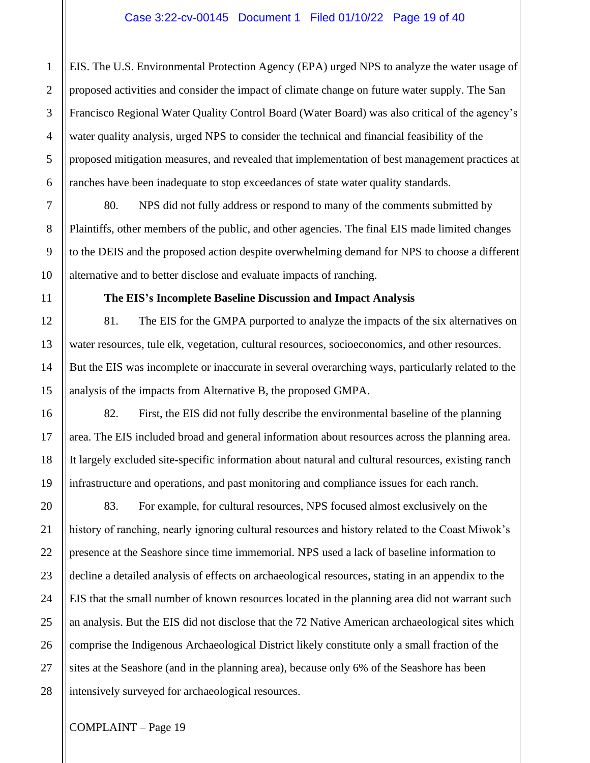EIS. The U.S. Environmental Protection Agency (EPA) urged NPS to analyze the water usage of proposed activities and consider the impact of climate change on future water supply. The San Francisco Regional Water Quality Control Board (Water Board) was also critical of the agency's water quality analysis, urged NPS to consider the technical and financial feasibility of the proposed mitigation measures, and revealed that implementation of best management practices at ranches have been inadequate to stop exceedances of state water quality standards.

80. NPS did not fully address or respond to many of the comments submitted by Plaintiffs, other members of the public, and other agencies. The final EIS made limited changes to the DEIS and the proposed action despite overwhelming demand for NPS to choose a different alternative and to better disclose and evaluate impacts of ranching.

## **The EIS's Incomplete Baseline Discussion and Impact Analysis**

81. The EIS for the GMPA purported to analyze the impacts of the six alternatives on water resources, tule elk, vegetation, cultural resources, socioeconomics, and other resources. But the EIS was incomplete or inaccurate in several overarching ways, particularly related to the analysis of the impacts from Alternative B, the proposed GMPA.

82. First, the EIS did not fully describe the environmental baseline of the planning area. The EIS included broad and general information about resources across the planning area. It largely excluded site-specific information about natural and cultural resources, existing ranch infrastructure and operations, and past monitoring and compliance issues for each ranch.

83. For example, for cultural resources, NPS focused almost exclusively on the history of ranching, nearly ignoring cultural resources and history related to the Coast Miwok's presence at the Seashore since time immemorial. NPS used a lack of baseline information to decline a detailed analysis of effects on archaeological resources, stating in an appendix to the EIS that the small number of known resources located in the planning area did not warrant such an analysis. But the EIS did not disclose that the 72 Native American archaeological sites which comprise the Indigenous Archaeological District likely constitute only a small fraction of the sites at the Seashore (and in the planning area), because only 6% of the Seashore has been intensively surveyed for archaeological resources.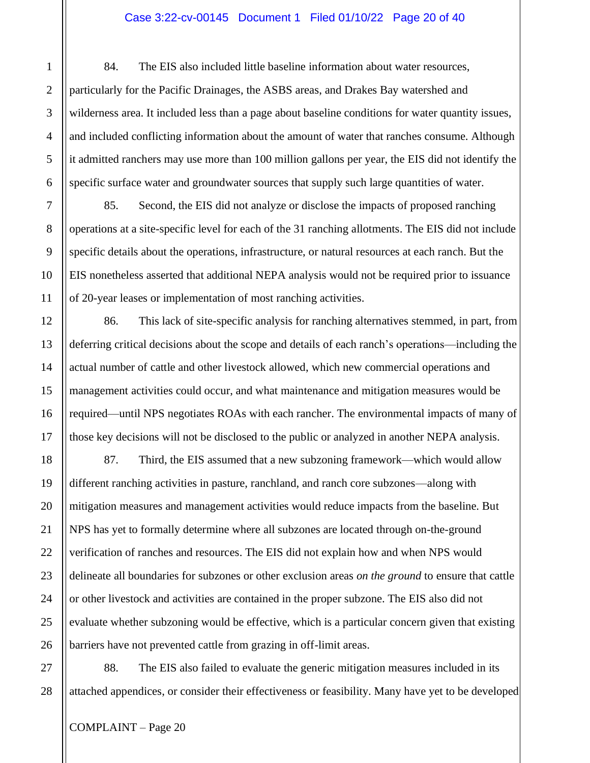### Case 3:22-cv-00145 Document 1 Filed 01/10/22 Page 20 of 40

84. The EIS also included little baseline information about water resources, particularly for the Pacific Drainages, the ASBS areas, and Drakes Bay watershed and wilderness area. It included less than a page about baseline conditions for water quantity issues, and included conflicting information about the amount of water that ranches consume. Although it admitted ranchers may use more than 100 million gallons per year, the EIS did not identify the specific surface water and groundwater sources that supply such large quantities of water.

85. Second, the EIS did not analyze or disclose the impacts of proposed ranching operations at a site-specific level for each of the 31 ranching allotments. The EIS did not include specific details about the operations, infrastructure, or natural resources at each ranch. But the EIS nonetheless asserted that additional NEPA analysis would not be required prior to issuance of 20-year leases or implementation of most ranching activities.

86. This lack of site-specific analysis for ranching alternatives stemmed, in part, from deferring critical decisions about the scope and details of each ranch's operations—including the actual number of cattle and other livestock allowed, which new commercial operations and management activities could occur, and what maintenance and mitigation measures would be required—until NPS negotiates ROAs with each rancher. The environmental impacts of many of those key decisions will not be disclosed to the public or analyzed in another NEPA analysis.

87. Third, the EIS assumed that a new subzoning framework—which would allow different ranching activities in pasture, ranchland, and ranch core subzones––along with mitigation measures and management activities would reduce impacts from the baseline. But NPS has yet to formally determine where all subzones are located through on-the-ground verification of ranches and resources. The EIS did not explain how and when NPS would delineate all boundaries for subzones or other exclusion areas *on the ground* to ensure that cattle or other livestock and activities are contained in the proper subzone. The EIS also did not evaluate whether subzoning would be effective, which is a particular concern given that existing barriers have not prevented cattle from grazing in off-limit areas.

88. The EIS also failed to evaluate the generic mitigation measures included in its attached appendices, or consider their effectiveness or feasibility. Many have yet to be developed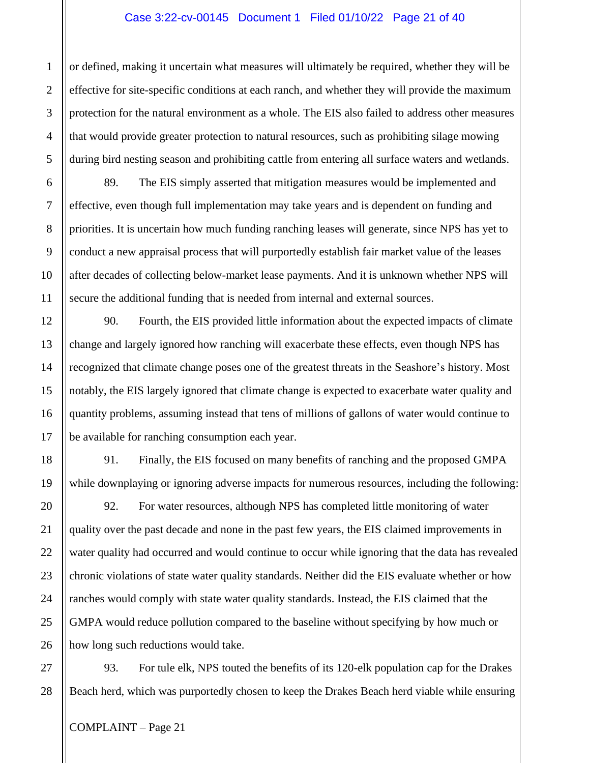#### Case 3:22-cv-00145 Document 1 Filed 01/10/22 Page 21 of 40

or defined, making it uncertain what measures will ultimately be required, whether they will be effective for site-specific conditions at each ranch, and whether they will provide the maximum protection for the natural environment as a whole. The EIS also failed to address other measures that would provide greater protection to natural resources, such as prohibiting silage mowing during bird nesting season and prohibiting cattle from entering all surface waters and wetlands.

89. The EIS simply asserted that mitigation measures would be implemented and effective, even though full implementation may take years and is dependent on funding and priorities. It is uncertain how much funding ranching leases will generate, since NPS has yet to conduct a new appraisal process that will purportedly establish fair market value of the leases after decades of collecting below-market lease payments. And it is unknown whether NPS will secure the additional funding that is needed from internal and external sources.

90. Fourth, the EIS provided little information about the expected impacts of climate change and largely ignored how ranching will exacerbate these effects, even though NPS has recognized that climate change poses one of the greatest threats in the Seashore's history. Most notably, the EIS largely ignored that climate change is expected to exacerbate water quality and quantity problems, assuming instead that tens of millions of gallons of water would continue to be available for ranching consumption each year.

91. Finally, the EIS focused on many benefits of ranching and the proposed GMPA while downplaying or ignoring adverse impacts for numerous resources, including the following:

92. For water resources, although NPS has completed little monitoring of water quality over the past decade and none in the past few years, the EIS claimed improvements in water quality had occurred and would continue to occur while ignoring that the data has revealed chronic violations of state water quality standards. Neither did the EIS evaluate whether or how ranches would comply with state water quality standards. Instead, the EIS claimed that the GMPA would reduce pollution compared to the baseline without specifying by how much or how long such reductions would take.

93. For tule elk, NPS touted the benefits of its 120-elk population cap for the Drakes Beach herd, which was purportedly chosen to keep the Drakes Beach herd viable while ensuring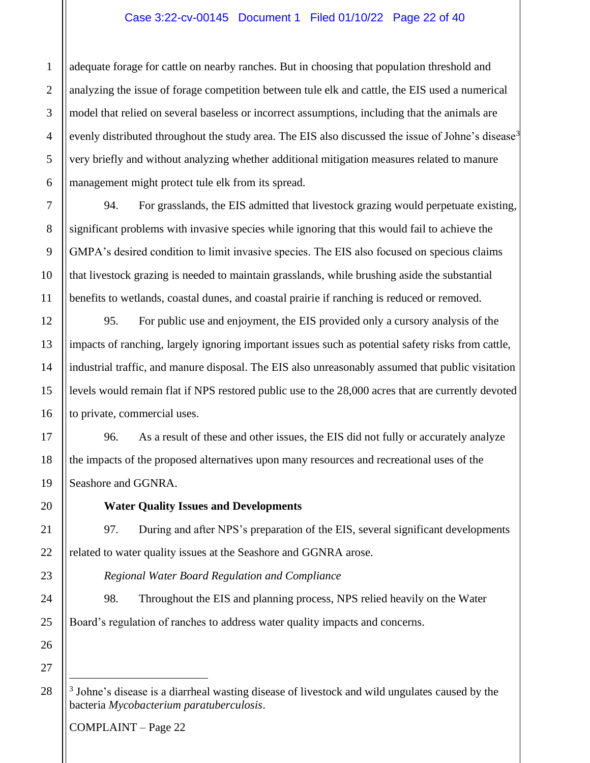## Case 3:22-cv-00145 Document 1 Filed 01/10/22 Page 22 of 40

adequate forage for cattle on nearby ranches. But in choosing that population threshold and analyzing the issue of forage competition between tule elk and cattle, the EIS used a numerical model that relied on several baseless or incorrect assumptions, including that the animals are evenly distributed throughout the study area. The EIS also discussed the issue of Johne's disease<sup>3</sup> very briefly and without analyzing whether additional mitigation measures related to manure management might protect tule elk from its spread.

94. For grasslands, the EIS admitted that livestock grazing would perpetuate existing, significant problems with invasive species while ignoring that this would fail to achieve the GMPA's desired condition to limit invasive species. The EIS also focused on specious claims that livestock grazing is needed to maintain grasslands, while brushing aside the substantial benefits to wetlands, coastal dunes, and coastal prairie if ranching is reduced or removed.

95. For public use and enjoyment, the EIS provided only a cursory analysis of the impacts of ranching, largely ignoring important issues such as potential safety risks from cattle, industrial traffic, and manure disposal. The EIS also unreasonably assumed that public visitation levels would remain flat if NPS restored public use to the 28,000 acres that are currently devoted to private, commercial uses.

96. As a result of these and other issues, the EIS did not fully or accurately analyze the impacts of the proposed alternatives upon many resources and recreational uses of the Seashore and GGNRA.

**Water Quality Issues and Developments**

97. During and after NPS's preparation of the EIS, several significant developments related to water quality issues at the Seashore and GGNRA arose.

*Regional Water Board Regulation and Compliance*

98. Throughout the EIS and planning process, NPS relied heavily on the Water Board's regulation of ranches to address water quality impacts and concerns.

<sup>&</sup>lt;sup>3</sup> Johne's disease is a diarrheal wasting disease of livestock and wild ungulates caused by the bacteria *Mycobacterium paratuberculosis*.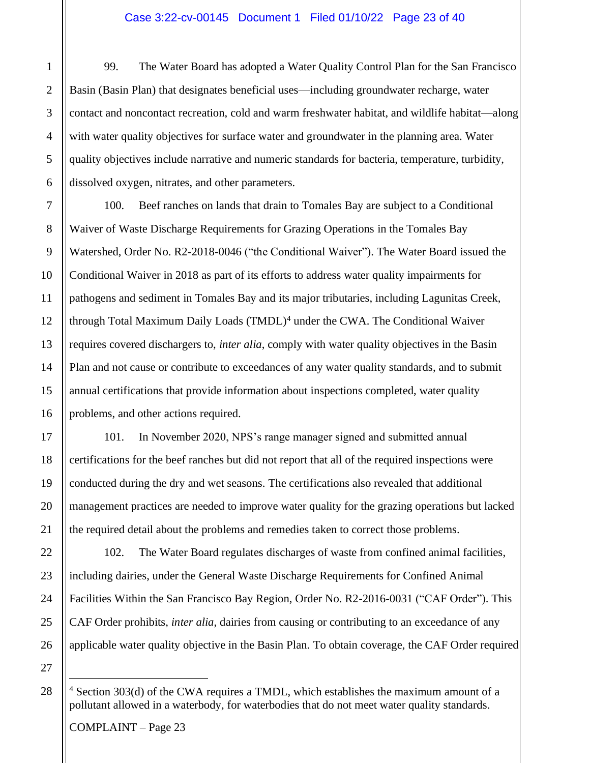#### Case 3:22-cv-00145 Document 1 Filed 01/10/22 Page 23 of 40

99. The Water Board has adopted a Water Quality Control Plan for the San Francisco Basin (Basin Plan) that designates beneficial uses—including groundwater recharge, water contact and noncontact recreation, cold and warm freshwater habitat, and wildlife habitat—along with water quality objectives for surface water and groundwater in the planning area. Water quality objectives include narrative and numeric standards for bacteria, temperature, turbidity, dissolved oxygen, nitrates, and other parameters.

100. Beef ranches on lands that drain to Tomales Bay are subject to a Conditional Waiver of Waste Discharge Requirements for Grazing Operations in the Tomales Bay Watershed, Order No. R2-2018-0046 ("the Conditional Waiver"). The Water Board issued the Conditional Waiver in 2018 as part of its efforts to address water quality impairments for pathogens and sediment in Tomales Bay and its major tributaries, including Lagunitas Creek, through Total Maximum Daily Loads (TMDL)<sup>4</sup> under the CWA. The Conditional Waiver requires covered dischargers to, *inter alia*, comply with water quality objectives in the Basin Plan and not cause or contribute to exceedances of any water quality standards, and to submit annual certifications that provide information about inspections completed, water quality problems, and other actions required.

101. In November 2020, NPS's range manager signed and submitted annual certifications for the beef ranches but did not report that all of the required inspections were conducted during the dry and wet seasons. The certifications also revealed that additional management practices are needed to improve water quality for the grazing operations but lacked the required detail about the problems and remedies taken to correct those problems.

102. The Water Board regulates discharges of waste from confined animal facilities, including dairies, under the General Waste Discharge Requirements for Confined Animal Facilities Within the San Francisco Bay Region, Order No. R2-2016-0031 ("CAF Order"). This CAF Order prohibits, *inter alia*, dairies from causing or contributing to an exceedance of any applicable water quality objective in the Basin Plan. To obtain coverage, the CAF Order required

<sup>&</sup>lt;sup>4</sup> Section 303(d) of the CWA requires a TMDL, which establishes the maximum amount of a pollutant allowed in a waterbody, for waterbodies that do not meet water quality standards.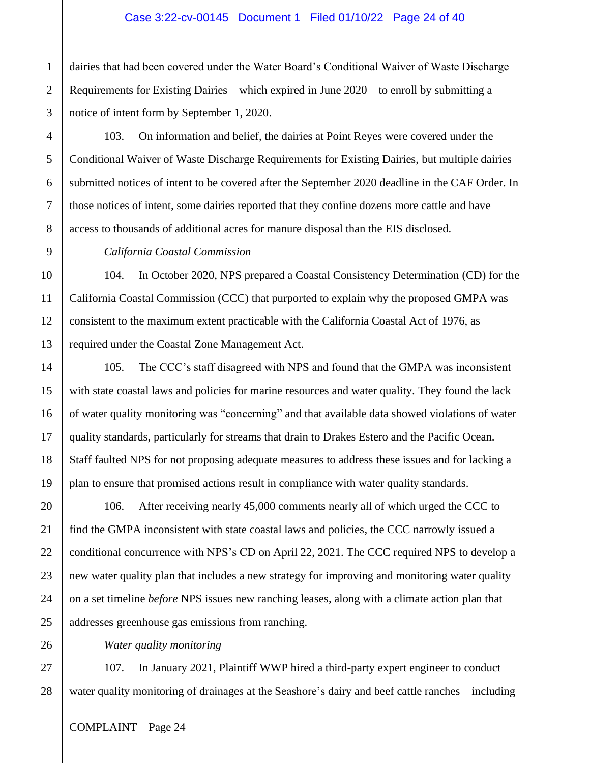dairies that had been covered under the Water Board's Conditional Waiver of Waste Discharge Requirements for Existing Dairies—which expired in June 2020—to enroll by submitting a notice of intent form by September 1, 2020.

103. On information and belief, the dairies at Point Reyes were covered under the Conditional Waiver of Waste Discharge Requirements for Existing Dairies, but multiple dairies submitted notices of intent to be covered after the September 2020 deadline in the CAF Order. In those notices of intent, some dairies reported that they confine dozens more cattle and have access to thousands of additional acres for manure disposal than the EIS disclosed.

*California Coastal Commission*

104. In October 2020, NPS prepared a Coastal Consistency Determination (CD) for the California Coastal Commission (CCC) that purported to explain why the proposed GMPA was consistent to the maximum extent practicable with the California Coastal Act of 1976, as required under the Coastal Zone Management Act.

105. The CCC's staff disagreed with NPS and found that the GMPA was inconsistent with state coastal laws and policies for marine resources and water quality. They found the lack of water quality monitoring was "concerning" and that available data showed violations of water quality standards, particularly for streams that drain to Drakes Estero and the Pacific Ocean. Staff faulted NPS for not proposing adequate measures to address these issues and for lacking a plan to ensure that promised actions result in compliance with water quality standards.

106. After receiving nearly 45,000 comments nearly all of which urged the CCC to find the GMPA inconsistent with state coastal laws and policies, the CCC narrowly issued a conditional concurrence with NPS's CD on April 22, 2021. The CCC required NPS to develop a new water quality plan that includes a new strategy for improving and monitoring water quality on a set timeline *before* NPS issues new ranching leases, along with a climate action plan that addresses greenhouse gas emissions from ranching.

*Water quality monitoring*

107. In January 2021, Plaintiff WWP hired a third-party expert engineer to conduct water quality monitoring of drainages at the Seashore's dairy and beef cattle ranches—including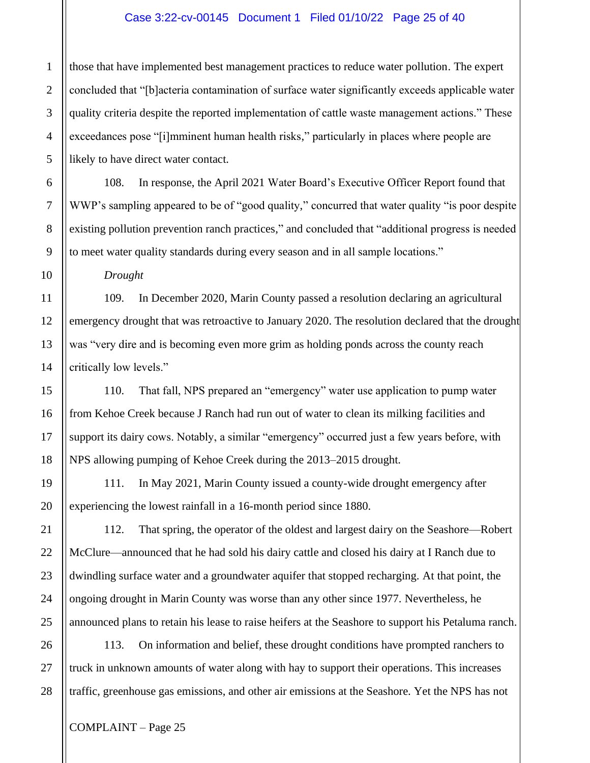#### Case 3:22-cv-00145 Document 1 Filed 01/10/22 Page 25 of 40

those that have implemented best management practices to reduce water pollution. The expert concluded that "[b]acteria contamination of surface water significantly exceeds applicable water quality criteria despite the reported implementation of cattle waste management actions." These exceedances pose "[i]mminent human health risks," particularly in places where people are likely to have direct water contact.

108. In response, the April 2021 Water Board's Executive Officer Report found that WWP's sampling appeared to be of "good quality," concurred that water quality "is poor despite existing pollution prevention ranch practices," and concluded that "additional progress is needed to meet water quality standards during every season and in all sample locations."

*Drought*

109. In December 2020, Marin County passed a resolution declaring an agricultural emergency drought that was retroactive to January 2020. The resolution declared that the drought was "very dire and is becoming even more grim as holding ponds across the county reach critically low levels."

110. That fall, NPS prepared an "emergency" water use application to pump water from Kehoe Creek because J Ranch had run out of water to clean its milking facilities and support its dairy cows. Notably, a similar "emergency" occurred just a few years before, with NPS allowing pumping of Kehoe Creek during the 2013–2015 drought.

111. In May 2021, Marin County issued a county-wide drought emergency after experiencing the lowest rainfall in a 16-month period since 1880.

112. That spring, the operator of the oldest and largest dairy on the Seashore—Robert McClure––announced that he had sold his dairy cattle and closed his dairy at I Ranch due to dwindling surface water and a groundwater aquifer that stopped recharging. At that point, the ongoing drought in Marin County was worse than any other since 1977. Nevertheless, he announced plans to retain his lease to raise heifers at the Seashore to support his Petaluma ranch.

113. On information and belief, these drought conditions have prompted ranchers to truck in unknown amounts of water along with hay to support their operations. This increases traffic, greenhouse gas emissions, and other air emissions at the Seashore. Yet the NPS has not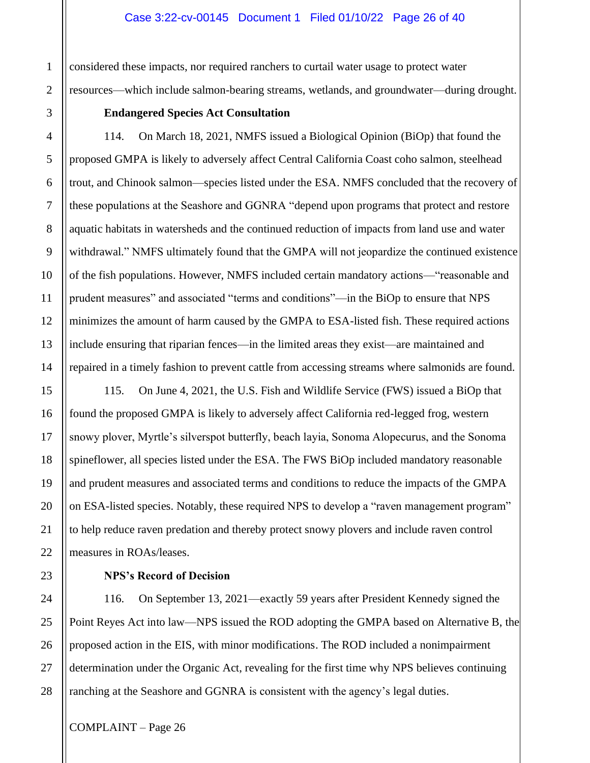considered these impacts, nor required ranchers to curtail water usage to protect water resources—which include salmon-bearing streams, wetlands, and groundwater––during drought.

## **Endangered Species Act Consultation**

114. On March 18, 2021, NMFS issued a Biological Opinion (BiOp) that found the proposed GMPA is likely to adversely affect Central California Coast coho salmon, steelhead trout, and Chinook salmon—species listed under the ESA. NMFS concluded that the recovery of these populations at the Seashore and GGNRA "depend upon programs that protect and restore aquatic habitats in watersheds and the continued reduction of impacts from land use and water withdrawal." NMFS ultimately found that the GMPA will not jeopardize the continued existence of the fish populations. However, NMFS included certain mandatory actions—"reasonable and prudent measures" and associated "terms and conditions"—in the BiOp to ensure that NPS minimizes the amount of harm caused by the GMPA to ESA-listed fish. These required actions include ensuring that riparian fences—in the limited areas they exist––are maintained and repaired in a timely fashion to prevent cattle from accessing streams where salmonids are found.

115. On June 4, 2021, the U.S. Fish and Wildlife Service (FWS) issued a BiOp that found the proposed GMPA is likely to adversely affect California red-legged frog, western snowy plover, Myrtle's silverspot butterfly, beach layia, Sonoma Alopecurus, and the Sonoma spineflower, all species listed under the ESA. The FWS BiOp included mandatory reasonable and prudent measures and associated terms and conditions to reduce the impacts of the GMPA on ESA-listed species. Notably, these required NPS to develop a "raven management program" to help reduce raven predation and thereby protect snowy plovers and include raven control measures in ROAs/leases.

**NPS's Record of Decision**

116. On September 13, 2021––exactly 59 years after President Kennedy signed the Point Reyes Act into law—NPS issued the ROD adopting the GMPA based on Alternative B, the proposed action in the EIS, with minor modifications. The ROD included a nonimpairment determination under the Organic Act, revealing for the first time why NPS believes continuing ranching at the Seashore and GGNRA is consistent with the agency's legal duties.

1

2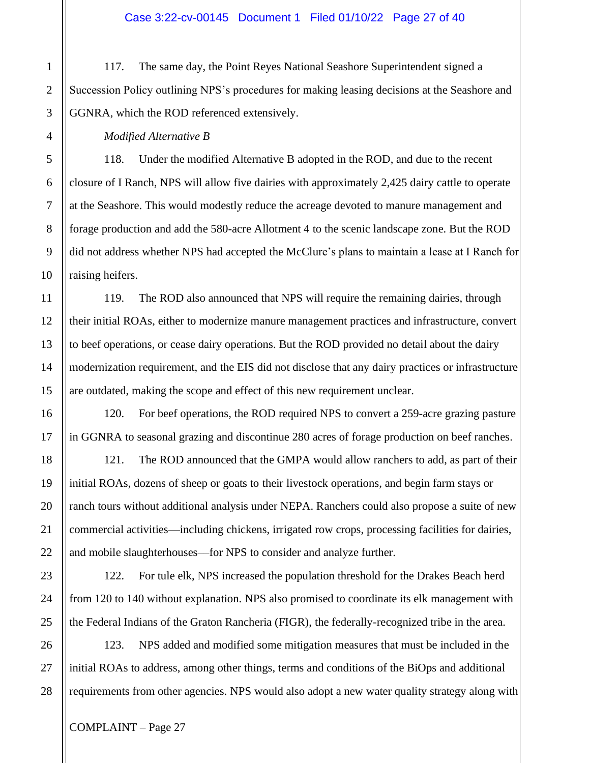117. The same day, the Point Reyes National Seashore Superintendent signed a Succession Policy outlining NPS's procedures for making leasing decisions at the Seashore and GGNRA, which the ROD referenced extensively.

#### *Modified Alternative B*

118. Under the modified Alternative B adopted in the ROD, and due to the recent closure of I Ranch, NPS will allow five dairies with approximately 2,425 dairy cattle to operate at the Seashore. This would modestly reduce the acreage devoted to manure management and forage production and add the 580-acre Allotment 4 to the scenic landscape zone. But the ROD did not address whether NPS had accepted the McClure's plans to maintain a lease at I Ranch for raising heifers.

119. The ROD also announced that NPS will require the remaining dairies, through their initial ROAs, either to modernize manure management practices and infrastructure, convert to beef operations, or cease dairy operations. But the ROD provided no detail about the dairy modernization requirement, and the EIS did not disclose that any dairy practices or infrastructure are outdated, making the scope and effect of this new requirement unclear.

120. For beef operations, the ROD required NPS to convert a 259-acre grazing pasture in GGNRA to seasonal grazing and discontinue 280 acres of forage production on beef ranches.

121. The ROD announced that the GMPA would allow ranchers to add, as part of their initial ROAs, dozens of sheep or goats to their livestock operations, and begin farm stays or ranch tours without additional analysis under NEPA. Ranchers could also propose a suite of new commercial activities—including chickens, irrigated row crops, processing facilities for dairies, and mobile slaughterhouses––for NPS to consider and analyze further.

122. For tule elk, NPS increased the population threshold for the Drakes Beach herd from 120 to 140 without explanation. NPS also promised to coordinate its elk management with the Federal Indians of the Graton Rancheria (FIGR), the federally-recognized tribe in the area.

123. NPS added and modified some mitigation measures that must be included in the initial ROAs to address, among other things, terms and conditions of the BiOps and additional requirements from other agencies. NPS would also adopt a new water quality strategy along with

1

2

3

4

5

6

7

8

9

10

11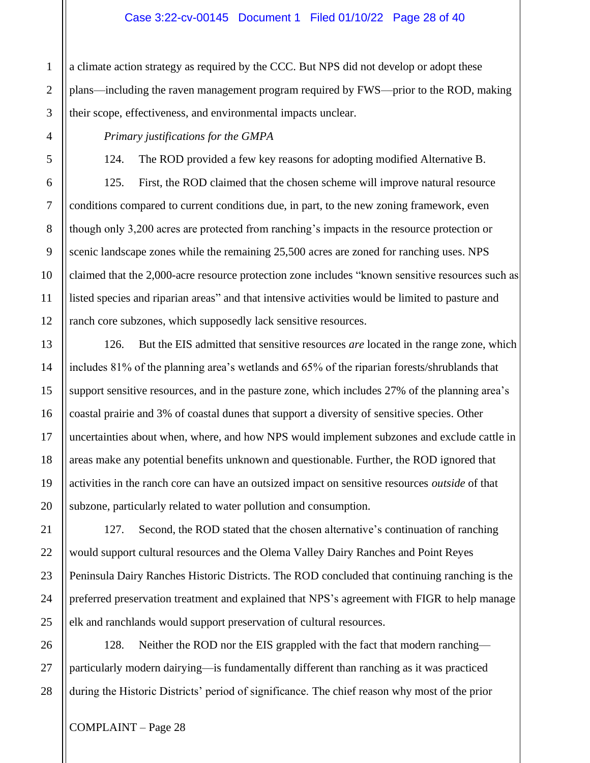#### Case 3:22-cv-00145 Document 1 Filed 01/10/22 Page 28 of 40

a climate action strategy as required by the CCC. But NPS did not develop or adopt these plans—including the raven management program required by FWS––prior to the ROD, making their scope, effectiveness, and environmental impacts unclear.

#### *Primary justifications for the GMPA*

124. The ROD provided a few key reasons for adopting modified Alternative B.

125. First, the ROD claimed that the chosen scheme will improve natural resource conditions compared to current conditions due, in part, to the new zoning framework, even though only 3,200 acres are protected from ranching's impacts in the resource protection or scenic landscape zones while the remaining 25,500 acres are zoned for ranching uses. NPS claimed that the 2,000-acre resource protection zone includes "known sensitive resources such as listed species and riparian areas" and that intensive activities would be limited to pasture and ranch core subzones, which supposedly lack sensitive resources.

126. But the EIS admitted that sensitive resources *are* located in the range zone, which includes 81% of the planning area's wetlands and 65% of the riparian forests/shrublands that support sensitive resources, and in the pasture zone, which includes 27% of the planning area's coastal prairie and 3% of coastal dunes that support a diversity of sensitive species. Other uncertainties about when, where, and how NPS would implement subzones and exclude cattle in areas make any potential benefits unknown and questionable. Further, the ROD ignored that activities in the ranch core can have an outsized impact on sensitive resources *outside* of that subzone, particularly related to water pollution and consumption.

127. Second, the ROD stated that the chosen alternative's continuation of ranching would support cultural resources and the Olema Valley Dairy Ranches and Point Reyes Peninsula Dairy Ranches Historic Districts. The ROD concluded that continuing ranching is the preferred preservation treatment and explained that NPS's agreement with FIGR to help manage elk and ranchlands would support preservation of cultural resources.

128. Neither the ROD nor the EIS grappled with the fact that modern ranching particularly modern dairying—is fundamentally different than ranching as it was practiced during the Historic Districts' period of significance. The chief reason why most of the prior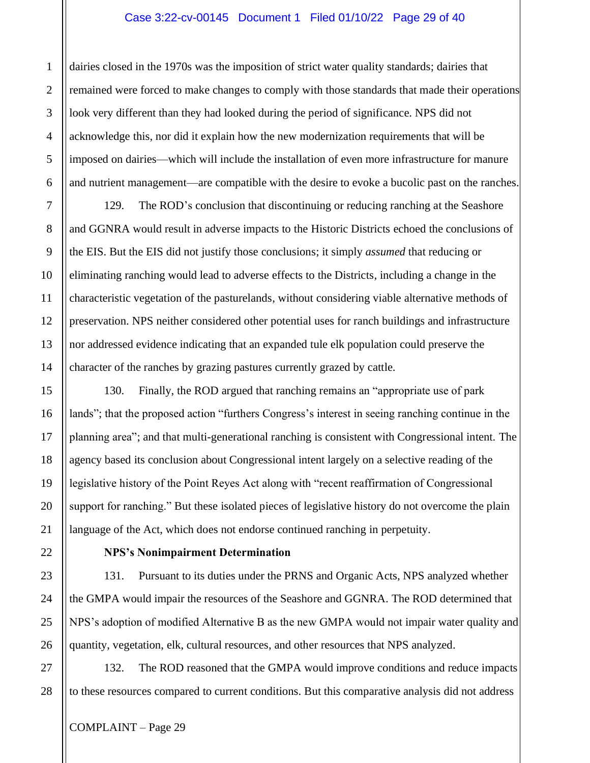#### Case 3:22-cv-00145 Document 1 Filed 01/10/22 Page 29 of 40

dairies closed in the 1970s was the imposition of strict water quality standards; dairies that remained were forced to make changes to comply with those standards that made their operations look very different than they had looked during the period of significance. NPS did not acknowledge this, nor did it explain how the new modernization requirements that will be imposed on dairies—which will include the installation of even more infrastructure for manure and nutrient management—are compatible with the desire to evoke a bucolic past on the ranches.

129. The ROD's conclusion that discontinuing or reducing ranching at the Seashore and GGNRA would result in adverse impacts to the Historic Districts echoed the conclusions of the EIS. But the EIS did not justify those conclusions; it simply *assumed* that reducing or eliminating ranching would lead to adverse effects to the Districts, including a change in the characteristic vegetation of the pasturelands, without considering viable alternative methods of preservation. NPS neither considered other potential uses for ranch buildings and infrastructure nor addressed evidence indicating that an expanded tule elk population could preserve the character of the ranches by grazing pastures currently grazed by cattle.

130. Finally, the ROD argued that ranching remains an "appropriate use of park lands"; that the proposed action "furthers Congress's interest in seeing ranching continue in the planning area"; and that multi-generational ranching is consistent with Congressional intent. The agency based its conclusion about Congressional intent largely on a selective reading of the legislative history of the Point Reyes Act along with "recent reaffirmation of Congressional support for ranching." But these isolated pieces of legislative history do not overcome the plain language of the Act, which does not endorse continued ranching in perpetuity.

## **NPS's Nonimpairment Determination**

131. Pursuant to its duties under the PRNS and Organic Acts, NPS analyzed whether the GMPA would impair the resources of the Seashore and GGNRA. The ROD determined that NPS's adoption of modified Alternative B as the new GMPA would not impair water quality and quantity, vegetation, elk, cultural resources, and other resources that NPS analyzed.

132. The ROD reasoned that the GMPA would improve conditions and reduce impacts to these resources compared to current conditions. But this comparative analysis did not address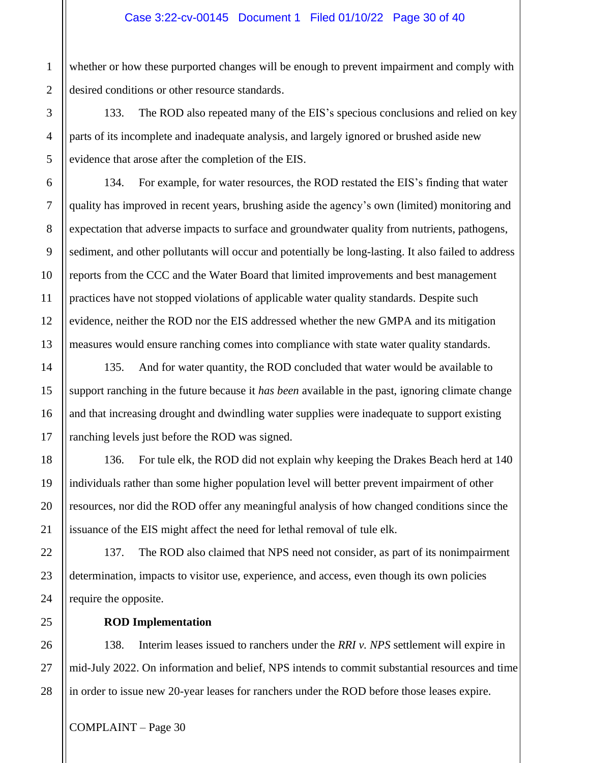whether or how these purported changes will be enough to prevent impairment and comply with desired conditions or other resource standards.

133. The ROD also repeated many of the EIS's specious conclusions and relied on key parts of its incomplete and inadequate analysis, and largely ignored or brushed aside new evidence that arose after the completion of the EIS.

134. For example, for water resources, the ROD restated the EIS's finding that water quality has improved in recent years, brushing aside the agency's own (limited) monitoring and expectation that adverse impacts to surface and groundwater quality from nutrients, pathogens, sediment, and other pollutants will occur and potentially be long-lasting. It also failed to address reports from the CCC and the Water Board that limited improvements and best management practices have not stopped violations of applicable water quality standards. Despite such evidence, neither the ROD nor the EIS addressed whether the new GMPA and its mitigation measures would ensure ranching comes into compliance with state water quality standards.

135. And for water quantity, the ROD concluded that water would be available to support ranching in the future because it *has been* available in the past, ignoring climate change and that increasing drought and dwindling water supplies were inadequate to support existing ranching levels just before the ROD was signed.

136. For tule elk, the ROD did not explain why keeping the Drakes Beach herd at 140 individuals rather than some higher population level will better prevent impairment of other resources, nor did the ROD offer any meaningful analysis of how changed conditions since the issuance of the EIS might affect the need for lethal removal of tule elk.

137. The ROD also claimed that NPS need not consider, as part of its nonimpairment determination, impacts to visitor use, experience, and access, even though its own policies require the opposite.

**ROD Implementation**

138. Interim leases issued to ranchers under the *RRI v. NPS* settlement will expire in mid-July 2022. On information and belief, NPS intends to commit substantial resources and time in order to issue new 20-year leases for ranchers under the ROD before those leases expire.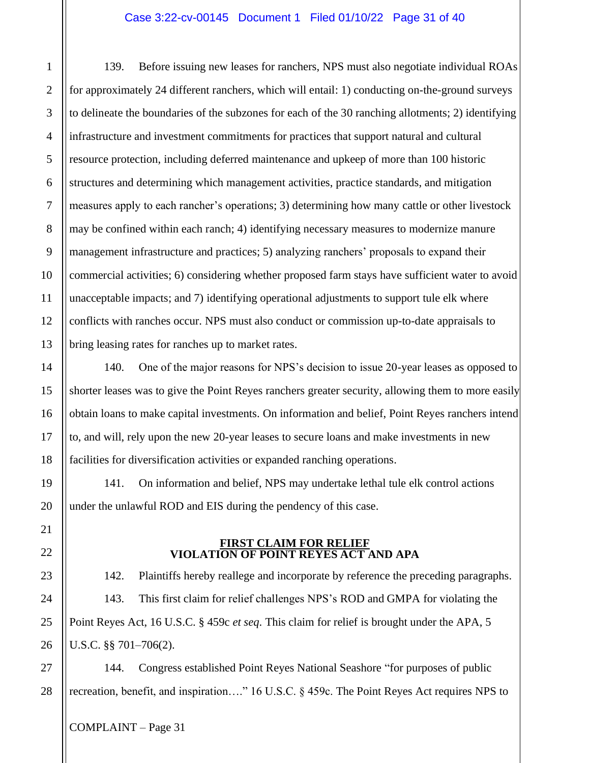#### Case 3:22-cv-00145 Document 1 Filed 01/10/22 Page 31 of 40

139. Before issuing new leases for ranchers, NPS must also negotiate individual ROAs for approximately 24 different ranchers, which will entail: 1) conducting on-the-ground surveys to delineate the boundaries of the subzones for each of the 30 ranching allotments; 2) identifying infrastructure and investment commitments for practices that support natural and cultural resource protection, including deferred maintenance and upkeep of more than 100 historic structures and determining which management activities, practice standards, and mitigation measures apply to each rancher's operations; 3) determining how many cattle or other livestock may be confined within each ranch; 4) identifying necessary measures to modernize manure management infrastructure and practices; 5) analyzing ranchers' proposals to expand their commercial activities; 6) considering whether proposed farm stays have sufficient water to avoid unacceptable impacts; and 7) identifying operational adjustments to support tule elk where conflicts with ranches occur. NPS must also conduct or commission up-to-date appraisals to bring leasing rates for ranches up to market rates.

140. One of the major reasons for NPS's decision to issue 20-year leases as opposed to shorter leases was to give the Point Reyes ranchers greater security, allowing them to more easily obtain loans to make capital investments. On information and belief, Point Reyes ranchers intend to, and will, rely upon the new 20-year leases to secure loans and make investments in new facilities for diversification activities or expanded ranching operations.

141. On information and belief, NPS may undertake lethal tule elk control actions under the unlawful ROD and EIS during the pendency of this case.

#### **FIRST CLAIM FOR RELIEF VIOLATION OF POINT REYES ACT AND APA**

142. Plaintiffs hereby reallege and incorporate by reference the preceding paragraphs. 143. This first claim for relief challenges NPS's ROD and GMPA for violating the Point Reyes Act, 16 U.S.C. § 459c *et seq*. This claim for relief is brought under the APA, 5 U.S.C. §§ 701–706(2).

144. Congress established Point Reyes National Seashore "for purposes of public recreation, benefit, and inspiration…." 16 U.S.C. § 459c. The Point Reyes Act requires NPS to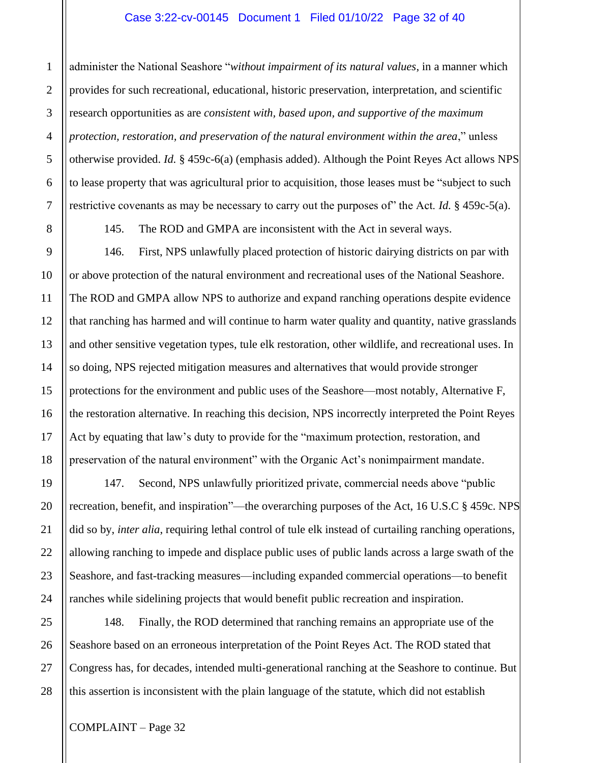#### Case 3:22-cv-00145 Document 1 Filed 01/10/22 Page 32 of 40

administer the National Seashore "*without impairment of its natural values*, in a manner which provides for such recreational, educational, historic preservation, interpretation, and scientific research opportunities as are *consistent with, based upon, and supportive of the maximum protection, restoration, and preservation of the natural environment within the area*," unless otherwise provided. *Id.* § 459c-6(a) (emphasis added). Although the Point Reyes Act allows NPS to lease property that was agricultural prior to acquisition, those leases must be "subject to such restrictive covenants as may be necessary to carry out the purposes of" the Act. *Id.* § 459c-5(a).

1

2

3

4

145. The ROD and GMPA are inconsistent with the Act in several ways.

146. First, NPS unlawfully placed protection of historic dairying districts on par with or above protection of the natural environment and recreational uses of the National Seashore. The ROD and GMPA allow NPS to authorize and expand ranching operations despite evidence that ranching has harmed and will continue to harm water quality and quantity, native grasslands and other sensitive vegetation types, tule elk restoration, other wildlife, and recreational uses. In so doing, NPS rejected mitigation measures and alternatives that would provide stronger protections for the environment and public uses of the Seashore—most notably, Alternative F, the restoration alternative. In reaching this decision, NPS incorrectly interpreted the Point Reyes Act by equating that law's duty to provide for the "maximum protection, restoration, and preservation of the natural environment" with the Organic Act's nonimpairment mandate.

147. Second, NPS unlawfully prioritized private, commercial needs above "public recreation, benefit, and inspiration"—the overarching purposes of the Act, 16 U.S.C § 459c. NPS did so by, *inter alia*, requiring lethal control of tule elk instead of curtailing ranching operations, allowing ranching to impede and displace public uses of public lands across a large swath of the Seashore, and fast-tracking measures—including expanded commercial operations—to benefit ranches while sidelining projects that would benefit public recreation and inspiration.

148. Finally, the ROD determined that ranching remains an appropriate use of the Seashore based on an erroneous interpretation of the Point Reyes Act. The ROD stated that Congress has, for decades, intended multi-generational ranching at the Seashore to continue. But this assertion is inconsistent with the plain language of the statute, which did not establish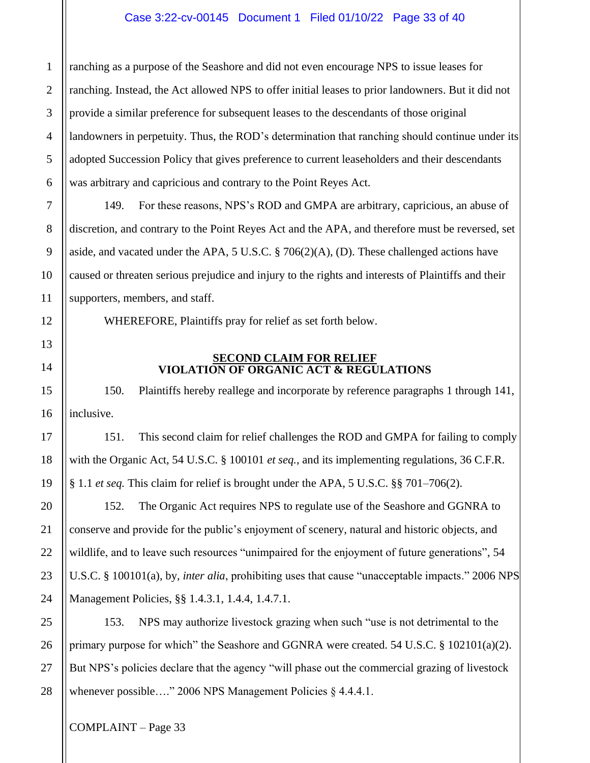ranching as a purpose of the Seashore and did not even encourage NPS to issue leases for ranching. Instead, the Act allowed NPS to offer initial leases to prior landowners. But it did not provide a similar preference for subsequent leases to the descendants of those original landowners in perpetuity. Thus, the ROD's determination that ranching should continue under its adopted Succession Policy that gives preference to current leaseholders and their descendants was arbitrary and capricious and contrary to the Point Reyes Act.

149. For these reasons, NPS's ROD and GMPA are arbitrary, capricious, an abuse of discretion, and contrary to the Point Reyes Act and the APA, and therefore must be reversed, set aside, and vacated under the APA, 5 U.S.C. § 706(2)(A), (D). These challenged actions have caused or threaten serious prejudice and injury to the rights and interests of Plaintiffs and their supporters, members, and staff.

WHEREFORE, Plaintiffs pray for relief as set forth below.

## **SECOND CLAIM FOR RELIEF VIOLATION OF ORGANIC ACT & REGULATIONS**

150. Plaintiffs hereby reallege and incorporate by reference paragraphs 1 through 141, inclusive.

151. This second claim for relief challenges the ROD and GMPA for failing to comply with the Organic Act, 54 U.S.C. § 100101 *et seq.*, and its implementing regulations, 36 C.F.R. § 1.1 *et seq.* This claim for relief is brought under the APA, 5 U.S.C. §§ 701–706(2).

152. The Organic Act requires NPS to regulate use of the Seashore and GGNRA to conserve and provide for the public's enjoyment of scenery, natural and historic objects, and wildlife, and to leave such resources "unimpaired for the enjoyment of future generations", 54 U.S.C. § 100101(a), by, *inter alia*, prohibiting uses that cause "unacceptable impacts." 2006 NPS Management Policies, §§ 1.4.3.1, 1.4.4, 1.4.7.1.

153. NPS may authorize livestock grazing when such "use is not detrimental to the primary purpose for which" the Seashore and GGNRA were created. 54 U.S.C.  $\S$  102101(a)(2). But NPS's policies declare that the agency "will phase out the commercial grazing of livestock whenever possible...." 2006 NPS Management Policies § 4.4.4.1.

COMPLAINT – Page 33

1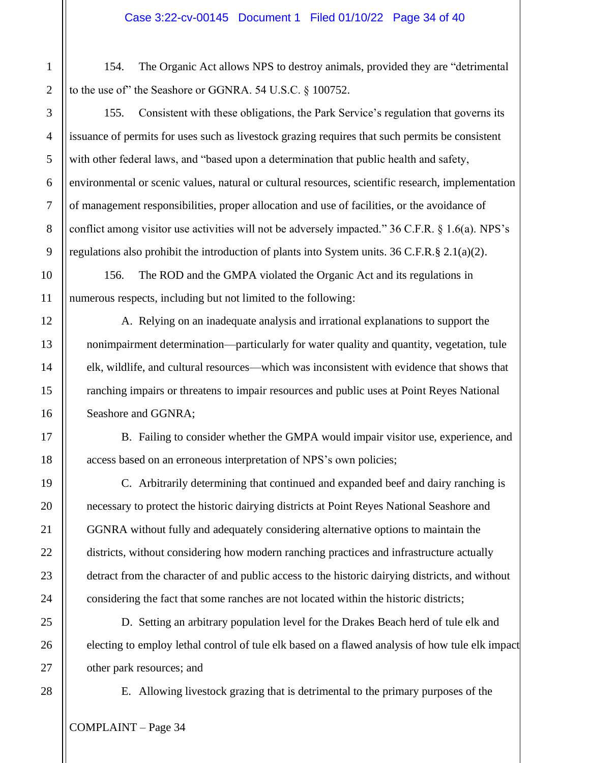154. The Organic Act allows NPS to destroy animals, provided they are "detrimental to the use of" the Seashore or GGNRA. 54 U.S.C. § 100752.

155. Consistent with these obligations, the Park Service's regulation that governs its issuance of permits for uses such as livestock grazing requires that such permits be consistent with other federal laws, and "based upon a determination that public health and safety, environmental or scenic values, natural or cultural resources, scientific research, implementation of management responsibilities, proper allocation and use of facilities, or the avoidance of conflict among visitor use activities will not be adversely impacted." 36 C.F.R. § 1.6(a). NPS's regulations also prohibit the introduction of plants into System units. 36 C.F.R.§ 2.1(a)(2).

156. The ROD and the GMPA violated the Organic Act and its regulations in numerous respects, including but not limited to the following:

A. Relying on an inadequate analysis and irrational explanations to support the nonimpairment determination—particularly for water quality and quantity, vegetation, tule elk, wildlife, and cultural resources—which was inconsistent with evidence that shows that ranching impairs or threatens to impair resources and public uses at Point Reyes National Seashore and GGNRA;

B. Failing to consider whether the GMPA would impair visitor use, experience, and access based on an erroneous interpretation of NPS's own policies;

C. Arbitrarily determining that continued and expanded beef and dairy ranching is necessary to protect the historic dairying districts at Point Reyes National Seashore and GGNRA without fully and adequately considering alternative options to maintain the districts, without considering how modern ranching practices and infrastructure actually detract from the character of and public access to the historic dairying districts, and without considering the fact that some ranches are not located within the historic districts;

D. Setting an arbitrary population level for the Drakes Beach herd of tule elk and electing to employ lethal control of tule elk based on a flawed analysis of how tule elk impact other park resources; and

E. Allowing livestock grazing that is detrimental to the primary purposes of the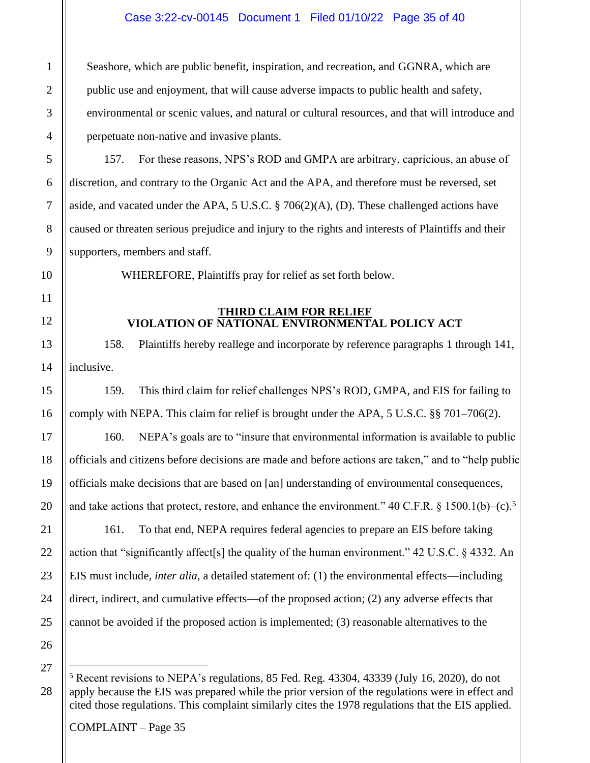## Case 3:22-cv-00145 Document 1 Filed 01/10/22 Page 35 of 40

Seashore, which are public benefit, inspiration, and recreation, and GGNRA, which are public use and enjoyment, that will cause adverse impacts to public health and safety, environmental or scenic values, and natural or cultural resources, and that will introduce and perpetuate non-native and invasive plants.

157. For these reasons, NPS's ROD and GMPA are arbitrary, capricious, an abuse of discretion, and contrary to the Organic Act and the APA, and therefore must be reversed, set aside, and vacated under the APA, 5 U.S.C. § 706(2)(A), (D). These challenged actions have caused or threaten serious prejudice and injury to the rights and interests of Plaintiffs and their supporters, members and staff.

WHEREFORE, Plaintiffs pray for relief as set forth below.

#### **THIRD CLAIM FOR RELIEF VIOLATION OF NATIONAL ENVIRONMENTAL POLICY ACT**

158. Plaintiffs hereby reallege and incorporate by reference paragraphs 1 through 141, inclusive.

159. This third claim for relief challenges NPS's ROD, GMPA, and EIS for failing to comply with NEPA. This claim for relief is brought under the APA, 5 U.S.C. §§ 701–706(2).

160. NEPA's goals are to "insure that environmental information is available to public officials and citizens before decisions are made and before actions are taken," and to "help public officials make decisions that are based on [an] understanding of environmental consequences, and take actions that protect, restore, and enhance the environment." 40 C.F.R.  $\S 1500.1(b)$ –(c).<sup>5</sup>

161. To that end, NEPA requires federal agencies to prepare an EIS before taking action that "significantly affect[s] the quality of the human environment." 42 U.S.C. § 4332. An EIS must include, *inter alia*, a detailed statement of: (1) the environmental effects—including direct, indirect, and cumulative effects—of the proposed action; (2) any adverse effects that cannot be avoided if the proposed action is implemented; (3) reasonable alternatives to the

27

<sup>5</sup> Recent revisions to NEPA's regulations, 85 Fed. Reg. 43304, 43339 (July 16, 2020), do not apply because the EIS was prepared while the prior version of the regulations were in effect and cited those regulations. This complaint similarly cites the 1978 regulations that the EIS applied.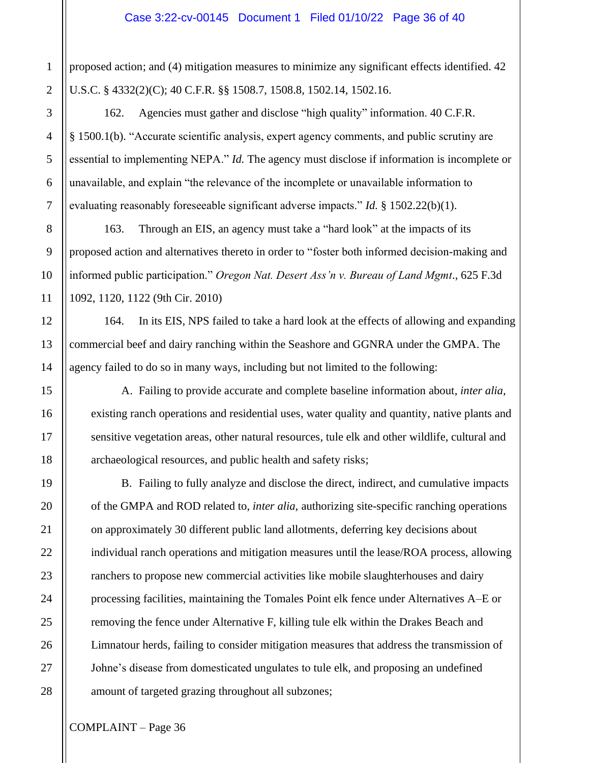proposed action; and (4) mitigation measures to minimize any significant effects identified. 42 U.S.C. § 4332(2)(C); 40 C.F.R. §§ 1508.7, 1508.8, 1502.14, 1502.16.

162. Agencies must gather and disclose "high quality" information. 40 C.F.R. § 1500.1(b). "Accurate scientific analysis, expert agency comments, and public scrutiny are essential to implementing NEPA." *Id.* The agency must disclose if information is incomplete or unavailable, and explain "the relevance of the incomplete or unavailable information to evaluating reasonably foreseeable significant adverse impacts." *Id.* § 1502.22(b)(1).

163. Through an EIS, an agency must take a "hard look" at the impacts of its proposed action and alternatives thereto in order to "foster both informed decision-making and informed public participation." *Oregon Nat. Desert Ass'n v. Bureau of Land Mgmt*., 625 F.3d 1092, 1120, 1122 (9th Cir. 2010)

164. In its EIS, NPS failed to take a hard look at the effects of allowing and expanding commercial beef and dairy ranching within the Seashore and GGNRA under the GMPA. The agency failed to do so in many ways, including but not limited to the following:

A. Failing to provide accurate and complete baseline information about, *inter alia*, existing ranch operations and residential uses, water quality and quantity, native plants and sensitive vegetation areas, other natural resources, tule elk and other wildlife, cultural and archaeological resources, and public health and safety risks;

B. Failing to fully analyze and disclose the direct, indirect, and cumulative impacts of the GMPA and ROD related to, *inter alia*, authorizing site-specific ranching operations on approximately 30 different public land allotments, deferring key decisions about individual ranch operations and mitigation measures until the lease/ROA process, allowing ranchers to propose new commercial activities like mobile slaughterhouses and dairy processing facilities, maintaining the Tomales Point elk fence under Alternatives A–E or removing the fence under Alternative F, killing tule elk within the Drakes Beach and Limnatour herds, failing to consider mitigation measures that address the transmission of Johne's disease from domesticated ungulates to tule elk, and proposing an undefined amount of targeted grazing throughout all subzones;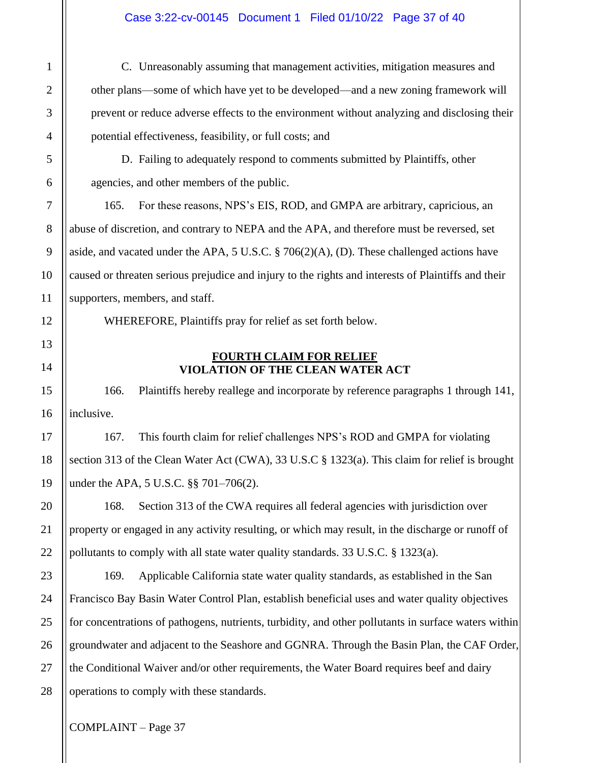## Case 3:22-cv-00145 Document 1 Filed 01/10/22 Page 37 of 40

C. Unreasonably assuming that management activities, mitigation measures and other plans—some of which have yet to be developed—and a new zoning framework will prevent or reduce adverse effects to the environment without analyzing and disclosing their potential effectiveness, feasibility, or full costs; and

D. Failing to adequately respond to comments submitted by Plaintiffs, other agencies, and other members of the public.

165. For these reasons, NPS's EIS, ROD, and GMPA are arbitrary, capricious, an abuse of discretion, and contrary to NEPA and the APA, and therefore must be reversed, set aside, and vacated under the APA, 5 U.S.C. § 706(2)(A), (D). These challenged actions have caused or threaten serious prejudice and injury to the rights and interests of Plaintiffs and their supporters, members, and staff.

WHEREFORE, Plaintiffs pray for relief as set forth below.

## **FOURTH CLAIM FOR RELIEF VIOLATION OF THE CLEAN WATER ACT**

166. Plaintiffs hereby reallege and incorporate by reference paragraphs 1 through 141, inclusive.

167. This fourth claim for relief challenges NPS's ROD and GMPA for violating section 313 of the Clean Water Act (CWA), 33 U.S.C § 1323(a). This claim for relief is brought under the APA, 5 U.S.C. §§ 701–706(2).

168. Section 313 of the CWA requires all federal agencies with jurisdiction over property or engaged in any activity resulting, or which may result, in the discharge or runoff of pollutants to comply with all state water quality standards. 33 U.S.C. § 1323(a).

169. Applicable California state water quality standards, as established in the San Francisco Bay Basin Water Control Plan, establish beneficial uses and water quality objectives for concentrations of pathogens, nutrients, turbidity, and other pollutants in surface waters within groundwater and adjacent to the Seashore and GGNRA. Through the Basin Plan, the CAF Order, the Conditional Waiver and/or other requirements, the Water Board requires beef and dairy operations to comply with these standards.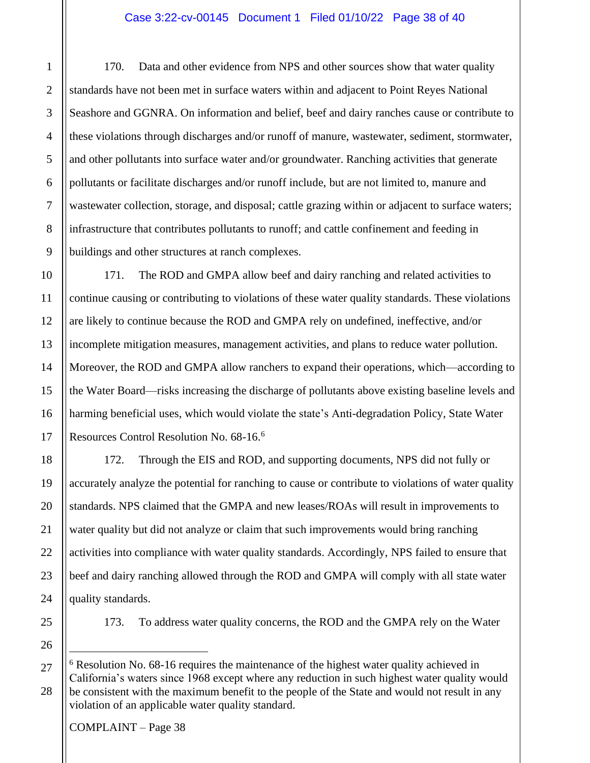170. Data and other evidence from NPS and other sources show that water quality standards have not been met in surface waters within and adjacent to Point Reyes National Seashore and GGNRA. On information and belief, beef and dairy ranches cause or contribute to these violations through discharges and/or runoff of manure, wastewater, sediment, stormwater, and other pollutants into surface water and/or groundwater. Ranching activities that generate pollutants or facilitate discharges and/or runoff include, but are not limited to, manure and wastewater collection, storage, and disposal; cattle grazing within or adjacent to surface waters; infrastructure that contributes pollutants to runoff; and cattle confinement and feeding in buildings and other structures at ranch complexes.

171. The ROD and GMPA allow beef and dairy ranching and related activities to continue causing or contributing to violations of these water quality standards. These violations are likely to continue because the ROD and GMPA rely on undefined, ineffective, and/or incomplete mitigation measures, management activities, and plans to reduce water pollution. Moreover, the ROD and GMPA allow ranchers to expand their operations, which—according to the Water Board—risks increasing the discharge of pollutants above existing baseline levels and harming beneficial uses, which would violate the state's Anti-degradation Policy, State Water Resources Control Resolution No. 68-16.<sup>6</sup>

172. Through the EIS and ROD, and supporting documents, NPS did not fully or accurately analyze the potential for ranching to cause or contribute to violations of water quality standards. NPS claimed that the GMPA and new leases/ROAs will result in improvements to water quality but did not analyze or claim that such improvements would bring ranching activities into compliance with water quality standards. Accordingly, NPS failed to ensure that beef and dairy ranching allowed through the ROD and GMPA will comply with all state water quality standards.

173. To address water quality concerns, the ROD and the GMPA rely on the Water

<sup>6</sup> Resolution No. 68-16 requires the maintenance of the highest water quality achieved in California's waters since 1968 except where any reduction in such highest water quality would be consistent with the maximum benefit to the people of the State and would not result in any violation of an applicable water quality standard.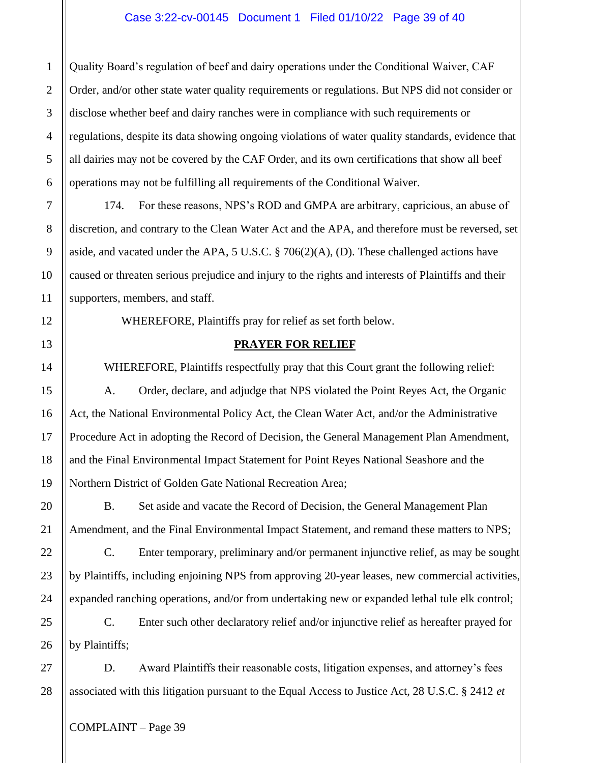Quality Board's regulation of beef and dairy operations under the Conditional Waiver, CAF Order, and/or other state water quality requirements or regulations. But NPS did not consider or disclose whether beef and dairy ranches were in compliance with such requirements or regulations, despite its data showing ongoing violations of water quality standards, evidence that all dairies may not be covered by the CAF Order, and its own certifications that show all beef operations may not be fulfilling all requirements of the Conditional Waiver.

174. For these reasons, NPS's ROD and GMPA are arbitrary, capricious, an abuse of discretion, and contrary to the Clean Water Act and the APA, and therefore must be reversed, set aside, and vacated under the APA, 5 U.S.C. § 706(2)(A), (D). These challenged actions have caused or threaten serious prejudice and injury to the rights and interests of Plaintiffs and their supporters, members, and staff.

WHEREFORE, Plaintiffs pray for relief as set forth below.

# **PRAYER FOR RELIEF**

WHEREFORE, Plaintiffs respectfully pray that this Court grant the following relief: A. Order, declare, and adjudge that NPS violated the Point Reyes Act, the Organic Act, the National Environmental Policy Act, the Clean Water Act, and/or the Administrative Procedure Act in adopting the Record of Decision, the General Management Plan Amendment, and the Final Environmental Impact Statement for Point Reyes National Seashore and the Northern District of Golden Gate National Recreation Area;

B. Set aside and vacate the Record of Decision, the General Management Plan Amendment, and the Final Environmental Impact Statement, and remand these matters to NPS;

C. Enter temporary, preliminary and/or permanent injunctive relief, as may be sought by Plaintiffs, including enjoining NPS from approving 20-year leases, new commercial activities, expanded ranching operations, and/or from undertaking new or expanded lethal tule elk control;

C. Enter such other declaratory relief and/or injunctive relief as hereafter prayed for by Plaintiffs;

D. Award Plaintiffs their reasonable costs, litigation expenses, and attorney's fees associated with this litigation pursuant to the Equal Access to Justice Act, 28 U.S.C. § 2412 *et*